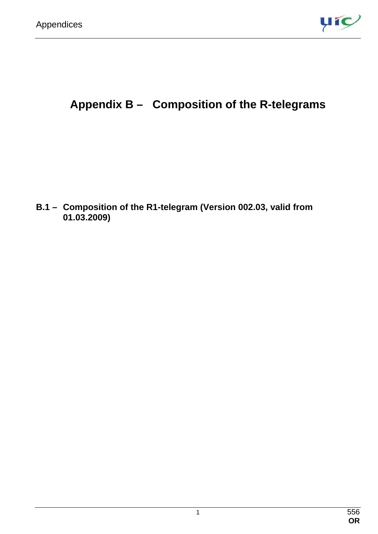

# **Appendix B – Composition of the R-telegrams**

**B.1 – Composition of the R1-telegram (Version 002.03, valid from 01.03.2009)**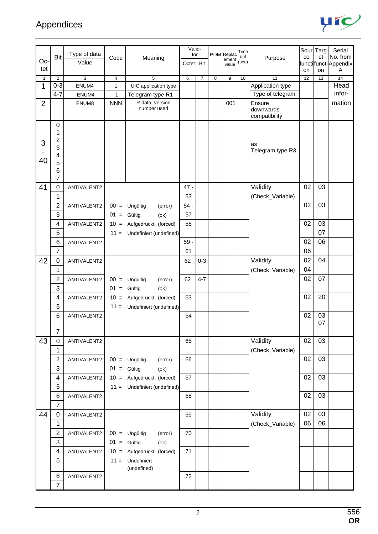

|                |                |                       |               |                                | Valid-      |                |                |                     | Time         |                        |    | Sour Targ | Serial                      |
|----------------|----------------|-----------------------|---------------|--------------------------------|-------------|----------------|----------------|---------------------|--------------|------------------------|----|-----------|-----------------------------|
| Oc-            | Bit            | Type of data<br>Value | Code          | Meaning                        | for         |                |                | PDM Replac<br>ement | out<br>(sec) | Purpose                | ce | et        | No. from                    |
| tet            |                |                       |               |                                | Octet   Bit |                |                | value               |              |                        | on | on        | functilfuncti Appendix<br>Α |
| $\mathbf{1}$   | $\overline{2}$ | 3                     | 4             | 5                              | 6           | $\overline{7}$ | $\overline{8}$ | 9                   | 10           | 11                     | 12 | 13        | 14                          |
| 1              | $0 - 3$        | ENUM4                 | 1             | UIC application type           |             |                |                |                     |              | Application type       |    |           | Head                        |
|                | $4 - 7$        | ENUM4                 | 1             | Telegram type R1               |             |                |                |                     |              | Type of telegram       |    |           | infor-                      |
| $\overline{2}$ |                | ENUM8                 | <b>NNN</b>    | R data version<br>number used  |             |                |                | 001                 |              | Ensure<br>downwards    |    |           | mation                      |
|                |                |                       |               |                                |             |                |                |                     |              | compatibility          |    |           |                             |
|                | 0<br>1         |                       |               |                                |             |                |                |                     |              |                        |    |           |                             |
| 3              | 2              |                       |               |                                |             |                |                |                     |              |                        |    |           |                             |
|                | 3              |                       |               |                                |             |                |                |                     |              | as<br>Telegram type R3 |    |           |                             |
| 40             | 4              |                       |               |                                |             |                |                |                     |              |                        |    |           |                             |
|                | 5<br>6         |                       |               |                                |             |                |                |                     |              |                        |    |           |                             |
|                | 7              |                       |               |                                |             |                |                |                     |              |                        |    |           |                             |
| 41             | 0              | ANTIVALENT2           |               |                                | $47 -$      |                |                |                     |              | Validity               | 02 | 03        |                             |
|                | 1              |                       |               |                                | 53          |                |                |                     |              | (Check_Variable)       |    |           |                             |
|                | $\overline{c}$ | ANTIVALENT2           |               | $00 =$ Ungültig<br>(error)     | $54 -$      |                |                |                     |              |                        | 02 | 03        |                             |
|                | 3              |                       | $01 =$ Gültig | (ok)                           | 57          |                |                |                     |              |                        |    |           |                             |
|                | 4              | ANTIVALENT2           |               | 10 = Aufgedrückt (forced)      | 58          |                |                |                     |              |                        | 02 | 03        |                             |
|                | 5              |                       |               | $11 =$ Undefiniert (undefined) |             |                |                |                     |              |                        |    | 07        |                             |
|                | 6              | ANTIVALENT2           |               |                                | $59 -$      |                |                |                     |              |                        | 02 | 06        |                             |
|                | $\overline{7}$ |                       |               |                                | 61          |                |                |                     |              |                        | 06 |           |                             |
| 42             | 0              | ANTIVALENT2           |               |                                | 62          | $0 - 3$        |                |                     |              | Validity               | 02 | 04        |                             |
|                | 1              |                       |               |                                |             |                |                |                     |              | (Check_Variable)       | 04 |           |                             |
|                | 2              | ANTIVALENT2           |               | $00 =$ Ungültig<br>(error)     | 62          | $4 - 7$        |                |                     |              |                        | 02 | 07        |                             |
|                | 3              |                       | $01 =$ Gültig | (ok)                           |             |                |                |                     |              |                        |    |           |                             |
|                | 4              | ANTIVALENT2           |               | 10 = Aufgedrückt (forced)      | 63          |                |                |                     |              |                        | 02 | 20        |                             |
|                | 5              |                       | $11 =$        | Undefiniert (undefined)        |             |                |                |                     |              |                        |    |           |                             |
|                | 6              | ANTIVALENT2           |               |                                | 64          |                |                |                     |              |                        | 02 | 03        |                             |
|                | $\overline{7}$ |                       |               |                                |             |                |                |                     |              |                        |    | 07        |                             |
| 43             | 0              | ANTIVALENT2           |               |                                | 65          |                |                |                     |              | Validity               | 02 | 03        |                             |
|                | $\mathbf{1}$   |                       |               |                                |             |                |                |                     |              | (Check_Variable)       |    |           |                             |
|                | 2              | ANTIVALENT2           |               | $00 =$ Ungültig<br>(error)     | 66          |                |                |                     |              |                        | 02 | 03        |                             |
|                | 3              |                       | $01 =$ Gültig | (ok)                           |             |                |                |                     |              |                        |    |           |                             |
|                | 4              | ANTIVALENT2           |               | 10 = Aufgedrückt (forced)      | 67          |                |                |                     |              |                        | 02 | 03        |                             |
|                | 5              |                       |               | $11 =$ Undefiniert (undefined) |             |                |                |                     |              |                        |    |           |                             |
|                | 6              | ANTIVALENT2           |               |                                | 68          |                |                |                     |              |                        | 02 | 03        |                             |
|                | $\overline{7}$ |                       |               |                                |             |                |                |                     |              |                        |    |           |                             |
| 44             | $\mathbf 0$    | ANTIVALENT2           |               |                                | 69          |                |                |                     |              | Validity               | 02 | 03        |                             |
|                | 1              |                       |               |                                |             |                |                |                     |              | (Check_Variable)       | 06 | 06        |                             |
|                | $\overline{c}$ | ANTIVALENT2           |               | $00 =$ Ungültig<br>(error)     | 70          |                |                |                     |              |                        |    |           |                             |
|                | 3              |                       | $01 =$ Gültig | (ok)                           |             |                |                |                     |              |                        |    |           |                             |
|                | 4              | ANTIVALENT2           |               | 10 = Aufgedrückt (forced)      | 71          |                |                |                     |              |                        |    |           |                             |
|                | 5              |                       |               | $11 =$ Undefiniert             |             |                |                |                     |              |                        |    |           |                             |
|                |                |                       |               | (undefined)                    |             |                |                |                     |              |                        |    |           |                             |
|                | 6              | ANTIVALENT2           |               |                                | 72          |                |                |                     |              |                        |    |           |                             |
|                | $\overline{7}$ |                       |               |                                |             |                |                |                     |              |                        |    |           |                             |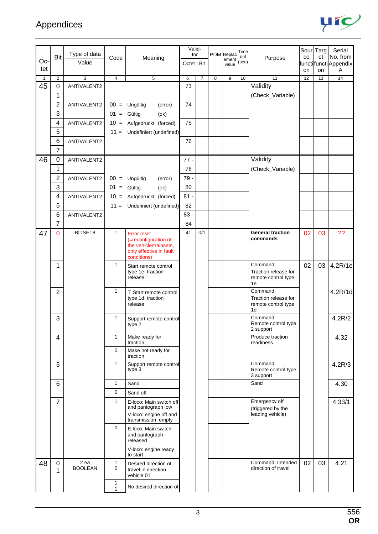

|     |                  |                        |                         |                                                                                                                | Valid-      |                |   |                     | Time         |                                                               |    | Sour Targ | Serial                    |
|-----|------------------|------------------------|-------------------------|----------------------------------------------------------------------------------------------------------------|-------------|----------------|---|---------------------|--------------|---------------------------------------------------------------|----|-----------|---------------------------|
| Oc- | Bit              | Type of data<br>Value  | Code                    | Meaning                                                                                                        | for         |                |   | PDM Replac<br>ement | out<br>(sec) | Purpose                                                       | ce | et        | No. from                  |
| tet |                  |                        |                         |                                                                                                                | Octet   Bit |                |   | value               |              |                                                               | on | on        | functifunctiAppendix<br>Α |
| 1   | 2                | 3                      | $\overline{\mathbf{4}}$ | 5                                                                                                              | 6           | $\overline{7}$ | 8 | 9                   | 10           | 11                                                            | 12 | 13        | 14                        |
| 45  | 0                | ANTIVALENT2            |                         |                                                                                                                | 73          |                |   |                     |              | Validity                                                      |    |           |                           |
|     | 1                |                        |                         |                                                                                                                |             |                |   |                     |              | (Check_Variable)                                              |    |           |                           |
|     | 2                | ANTIVALENT2            |                         | $00 =$ Ungültig<br>(error)                                                                                     | 74          |                |   |                     |              |                                                               |    |           |                           |
|     | 3                |                        | $01 =$ Gültig           | (ok)                                                                                                           |             |                |   |                     |              |                                                               |    |           |                           |
|     | 4                | ANTIVALENT2            |                         | 10 = Aufgedrückt (forced)                                                                                      | 75          |                |   |                     |              |                                                               |    |           |                           |
|     | 5                |                        |                         | $11 =$ Undefiniert (undefined)                                                                                 |             |                |   |                     |              |                                                               |    |           |                           |
|     | 6                | ANTIVALENT2            |                         |                                                                                                                | 76          |                |   |                     |              |                                                               |    |           |                           |
|     | 7                |                        |                         |                                                                                                                |             |                |   |                     |              |                                                               |    |           |                           |
| 46  | 0                | ANTIVALENT2            |                         |                                                                                                                | $77 -$      |                |   |                     |              | Validity                                                      |    |           |                           |
|     | 1                |                        |                         |                                                                                                                | 78          |                |   |                     |              | (Check_Variable)                                              |    |           |                           |
|     | 2                | ANTIVALENT2            |                         | $00 =$ Ungültig<br>(error)                                                                                     | 79 -        |                |   |                     |              |                                                               |    |           |                           |
|     | 3                |                        | $01 =$ Gültig           | (ok)                                                                                                           | 80          |                |   |                     |              |                                                               |    |           |                           |
|     | 4                | ANTIVALENT2            |                         | 10 = Aufgedrückt (forced)                                                                                      | $81 -$      |                |   |                     |              |                                                               |    |           |                           |
|     | 5                |                        |                         | $11 =$ Undefiniert (undefined)                                                                                 | 82          |                |   |                     |              |                                                               |    |           |                           |
|     | 6                | ANTIVALENT2            |                         |                                                                                                                | $83 -$      |                |   |                     |              |                                                               |    |           |                           |
|     | 7                |                        |                         |                                                                                                                | 84          |                |   |                     |              |                                                               |    |           |                           |
| 47  | 0                | BITSET8                | 1                       | <b>Error reset</b><br>(=reconfiguration of<br>the vehicle/trainsets,<br>only effective in fault<br>conditions) | 41          | 0/1            |   |                     |              | <b>General traction</b><br>commands                           | 02 | 03        | ??                        |
|     | 1                |                        | 1                       | Start remote control<br>type 1e, traction<br>release                                                           |             |                |   |                     |              | Command:<br>Traction release for<br>remote control type<br>1e | 02 | 03        | 4.2R/1e                   |
|     | $\overline{2}$   |                        | $\mathbf{1}$            | T Start remote control<br>type 1d, traction<br>release                                                         |             |                |   |                     |              | Command:<br>Traction release for<br>remote control type<br>1d |    |           | 4.2R/1d                   |
|     | 3                |                        | 1                       | Support remote control<br>type 2                                                                               |             |                |   |                     |              | Command:<br>Remote control type<br>2 support                  |    |           | 4.2R/2                    |
|     | 4                |                        | $\mathbf{1}$            | Make ready for<br>traction                                                                                     |             |                |   |                     |              | Produce traction<br>readiness                                 |    |           | 4.32                      |
|     |                  |                        | 0                       | Make not ready for<br>traction                                                                                 |             |                |   |                     |              |                                                               |    |           |                           |
|     | 5                |                        | 1                       | Support remote control<br>type 3                                                                               |             |                |   |                     |              | Command:<br>Remote control type<br>3 support                  |    |           | 4.2R/3                    |
|     | 6                |                        | $\mathbf{1}$            | Sand                                                                                                           |             |                |   |                     |              | Sand                                                          |    |           | 4.30                      |
|     |                  |                        | 0                       | Sand off                                                                                                       |             |                |   |                     |              |                                                               |    |           |                           |
|     | $\overline{7}$   |                        | $\mathbf{1}$            | E-loco: Main switch off<br>and pantograph low                                                                  |             |                |   |                     |              | Emergency off<br>(triggered by the                            |    |           | 4.33/1                    |
|     |                  |                        |                         | V-loco: engine off and<br>transmission empty                                                                   |             |                |   |                     |              | leading vehicle)                                              |    |           |                           |
|     |                  |                        | 0                       | E-loco: Main switch<br>and pantograph<br>released<br>V-loco: engine ready                                      |             |                |   |                     |              |                                                               |    |           |                           |
| 48  | $\mathbf 0$<br>1 | 2 ea<br><b>BOOLEAN</b> | 1<br>0                  | to start<br>Desired direction of<br>travel in direction                                                        |             |                |   |                     |              | Command: Intended<br>direction of travel                      | 02 | 03        | 4.21                      |
|     |                  |                        | 1<br>1                  | vehicle 01<br>No desired direction of                                                                          |             |                |   |                     |              |                                                               |    |           |                           |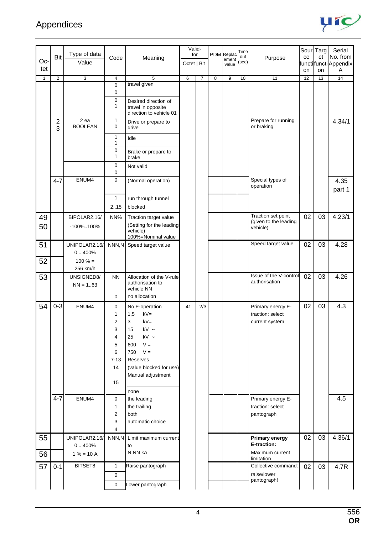

|              |                              | Type of data                          |                                                         |                                                                                                                                                                                          | Valid-<br>for |                |                | PDM Replac     | Time        |                                                         | Sour Targ |    | Serial                           |
|--------------|------------------------------|---------------------------------------|---------------------------------------------------------|------------------------------------------------------------------------------------------------------------------------------------------------------------------------------------------|---------------|----------------|----------------|----------------|-------------|---------------------------------------------------------|-----------|----|----------------------------------|
| Oc-          | Bit                          | Value                                 | Code                                                    | Meaning                                                                                                                                                                                  | Octet   Bit   |                |                | ement<br>value | out<br>(sec | Purpose                                                 | ce        | et | No. from<br>functifunctiAppendix |
| tet          |                              |                                       |                                                         |                                                                                                                                                                                          |               |                |                |                |             |                                                         | on        | on | Α                                |
| $\mathbf{1}$ | $\overline{2}$               | 3                                     | $\overline{4}$                                          | 5<br>travel given                                                                                                                                                                        | 6             | $\overline{7}$ | $\overline{8}$ | 9              | 10          | 11                                                      | 12        | 13 | 14                               |
|              |                              |                                       | $\mathbf 0$<br>$\mathbf 0$                              |                                                                                                                                                                                          |               |                |                |                |             |                                                         |           |    |                                  |
|              |                              |                                       | 0<br>1                                                  | Desired direction of<br>travel in opposite<br>direction to vehicle 01                                                                                                                    |               |                |                |                |             |                                                         |           |    |                                  |
|              | $\overline{\mathbf{c}}$<br>3 | 2 ea<br><b>BOOLEAN</b>                | 1<br>$\mathbf 0$                                        | Drive or prepare to<br>drive                                                                                                                                                             |               |                |                |                |             | Prepare for running<br>or braking                       |           |    | 4.34/1                           |
|              |                              |                                       | 1<br>1                                                  | Idle                                                                                                                                                                                     |               |                |                |                |             |                                                         |           |    |                                  |
|              |                              |                                       | 0<br>1                                                  | Brake or prepare to<br>brake                                                                                                                                                             |               |                |                |                |             |                                                         |           |    |                                  |
|              |                              |                                       | 0<br>0                                                  | Not valid                                                                                                                                                                                |               |                |                |                |             |                                                         |           |    |                                  |
|              | $4 - 7$                      | ENUM4                                 | $\mathbf 0$                                             | (Normal operation)                                                                                                                                                                       |               |                |                |                |             | Special types of<br>operation                           |           |    | 4.35<br>part 1                   |
|              |                              |                                       | $\mathbf{1}$                                            | run through tunnel                                                                                                                                                                       |               |                |                |                |             |                                                         |           |    |                                  |
|              |                              |                                       | 2.15                                                    | blocked                                                                                                                                                                                  |               |                |                |                |             |                                                         |           |    |                                  |
| 49<br>50     |                              | BIPOLAR2.16/<br>-100%100%             | NN%                                                     | Traction target value<br>(Setting for the leading<br>vehicle)<br>100%=Nominal value                                                                                                      |               |                |                |                |             | Traction set point<br>(given to the leading<br>vehicle) | 02        | 03 | 4.23/1                           |
| 51           |                              | UNIPOLAR2.16/<br>0.400%               | NNN,N                                                   | Speed target value                                                                                                                                                                       |               |                |                |                |             | Speed target value                                      | 02        | 03 | 4.28                             |
| 52           |                              | $100 \% =$<br>256 km/h                |                                                         |                                                                                                                                                                                          |               |                |                |                |             |                                                         |           |    |                                  |
| 53           |                              | UNSIGNED8/<br>$NN = 163$              | <b>NN</b>                                               | Allocation of the V-rule<br>authorisation to<br>vehicle NN                                                                                                                               |               |                |                |                |             | Issue of the V-control<br>authorisation                 | 02        | 03 | 4.26                             |
|              |                              |                                       | $\mathbf 0$                                             | no allocation                                                                                                                                                                            |               |                |                |                |             |                                                         |           |    |                                  |
| 54           | $0 - 3$                      | ENUM4                                 | 0<br>1<br>2<br>3<br>4<br>5<br>6<br>$7 - 13$<br>14<br>15 | No E-operation<br>$kV =$<br>1,5<br>3<br>$kV =$<br>15<br>kV $\sim$<br>kV $\sim$<br>25<br>$V =$<br>600<br>750<br>$V =$<br>Reserves<br>(value blocked for use)<br>Manual adjustment<br>none | 41            | 2/3            |                |                |             | Primary energy E-<br>traction: select<br>current system | 02        | 03 | 4.3                              |
|              | $4 - 7$                      | ENUM4                                 | 0<br>1<br>2<br>3<br>$\overline{4}$                      | the leading<br>the trailing<br>both<br>automatic choice                                                                                                                                  |               |                |                |                |             | Primary energy E-<br>traction: select<br>pantograph     |           |    | 4.5                              |
| 55<br>56     |                              | UNIPOLAR2.16/<br>0.400%<br>$1% = 10A$ | NNN,N                                                   | Limit maximum current<br>to<br>N,NN kA                                                                                                                                                   |               |                |                |                |             | <b>Primary energy</b><br>E-traction:<br>Maximum current | 02        | 03 | 4.36/1                           |
| 57           | $0 - 1$                      | BITSET8                               | $\mathbf{1}$                                            | Raise pantograph                                                                                                                                                                         |               |                |                |                |             | limitation<br>Collective command:                       | 02        | 03 | 4.7R                             |
|              |                              |                                       | $\mathbf 0$                                             |                                                                                                                                                                                          |               |                |                |                |             | raise/lower<br>pantograph!                              |           |    |                                  |
|              |                              |                                       | $\pmb{0}$                                               | Lower pantograph                                                                                                                                                                         |               |                |                |                |             |                                                         |           |    |                                  |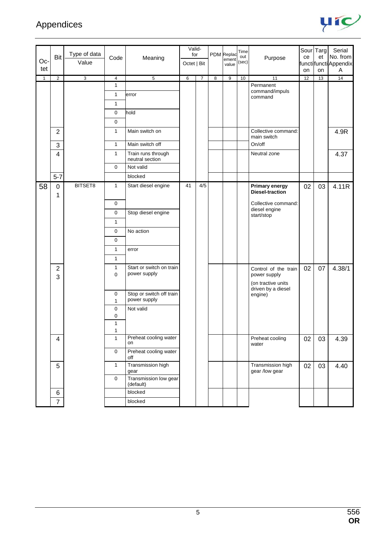

|              | Bit                 | Type of data | Code              | Meaning                                  | Valid-<br>for |                |   | PDM Replac<br>ement | Time<br>out | Purpose                                                                          | ce | Sour Targ<br>et | Serial<br>No. from         |
|--------------|---------------------|--------------|-------------------|------------------------------------------|---------------|----------------|---|---------------------|-------------|----------------------------------------------------------------------------------|----|-----------------|----------------------------|
| Oc-<br>tet   |                     | Value        |                   |                                          | Octet   Bit   |                |   | value               | (sec)       |                                                                                  | on | on              | functifuncti Appendix<br>A |
| $\mathbf{1}$ | $\overline{2}$      | 3            | $\overline{4}$    | $\overline{5}$                           | 6             | $\overline{7}$ | 8 | 9                   | 10          | 11                                                                               | 12 | 13              | 14                         |
|              |                     |              | $\mathbf{1}$      |                                          |               |                |   |                     |             | Permanent                                                                        |    |                 |                            |
|              |                     |              | 1                 | error                                    |               |                |   |                     |             | command/impuls<br>command                                                        |    |                 |                            |
|              |                     |              | $\mathbf{1}$      |                                          |               |                |   |                     |             |                                                                                  |    |                 |                            |
|              |                     |              | $\mathbf 0$       | hold                                     |               |                |   |                     |             |                                                                                  |    |                 |                            |
|              |                     |              | $\mathbf 0$       |                                          |               |                |   |                     |             |                                                                                  |    |                 |                            |
|              | $\overline{2}$      |              | $\mathbf{1}$      | Main switch on                           |               |                |   |                     |             | Collective command:<br>main switch                                               |    |                 | 4.9R                       |
|              | $\mathbf{3}$        |              | $\mathbf{1}$      | Main switch off                          |               |                |   |                     |             | On/off                                                                           |    |                 |                            |
|              | $\overline{4}$      |              | $\mathbf{1}$      | Train runs through<br>neutral section    |               |                |   |                     |             | Neutral zone                                                                     |    |                 | 4.37                       |
|              |                     |              | $\mathbf 0$       | Not valid                                |               |                |   |                     |             |                                                                                  |    |                 |                            |
|              | $5 - 7$             |              |                   | blocked                                  |               |                |   |                     |             |                                                                                  |    |                 |                            |
| 58           | $\mathbf 0$<br>1    | BITSET8      | $\mathbf{1}$      | Start diesel engine                      | 41            | 4/5            |   |                     |             | <b>Primary energy</b><br>Diesel-traction                                         | 02 | 03              | 4.11R                      |
|              |                     |              | 0                 |                                          |               |                |   |                     |             | Collective command:                                                              |    |                 |                            |
|              |                     |              | $\mathbf 0$       | Stop diesel engine                       |               |                |   |                     |             | diesel engine<br>start/stop                                                      |    |                 |                            |
|              |                     |              | $\mathbf{1}$      |                                          |               |                |   |                     |             |                                                                                  |    |                 |                            |
|              |                     |              | $\mathbf 0$       | No action                                |               |                |   |                     |             |                                                                                  |    |                 |                            |
|              |                     |              | $\mathbf 0$       |                                          |               |                |   |                     |             |                                                                                  |    |                 |                            |
|              |                     |              | $\mathbf{1}$      | error                                    |               |                |   |                     |             |                                                                                  |    |                 |                            |
|              |                     |              | $\mathbf{1}$      |                                          |               |                |   |                     |             |                                                                                  |    |                 |                            |
|              | $\overline{2}$<br>3 |              | 1<br>$\Omega$     | Start or switch on train<br>power supply |               |                |   |                     |             | Control of the train<br>power supply<br>(on tractive units<br>driven by a diesel | 02 | 07              | 4.38/1                     |
|              |                     |              | 0<br>$\mathbf{1}$ | Stop or switch off train<br>power supply |               |                |   |                     |             | engine)                                                                          |    |                 |                            |
|              |                     |              | $\mathbf 0$       | Not valid                                |               |                |   |                     |             |                                                                                  |    |                 |                            |
|              |                     |              | 0                 |                                          |               |                |   |                     |             |                                                                                  |    |                 |                            |
|              |                     |              | 1<br>1            |                                          |               |                |   |                     |             |                                                                                  |    |                 |                            |
|              | 4                   |              | $\mathbf{1}$      | Preheat cooling water<br>on              |               |                |   |                     |             | Preheat cooling<br>water                                                         | 02 | 03              | 4.39                       |
|              |                     |              | $\mathbf{0}$      | Preheat cooling water<br>off             |               |                |   |                     |             |                                                                                  |    |                 |                            |
|              | $\overline{5}$      |              | $\mathbf{1}$      | Transmission high<br>gear                |               |                |   |                     |             | Transmission high<br>gear /low gear                                              | 02 | 03              | 4.40                       |
|              |                     |              | $\mathbf 0$       | Transmission low gear<br>(default)       |               |                |   |                     |             |                                                                                  |    |                 |                            |
|              | $\,6$               |              |                   | blocked                                  |               |                |   |                     |             |                                                                                  |    |                 |                            |
|              | $\overline{7}$      |              |                   | blocked                                  |               |                |   |                     |             |                                                                                  |    |                 |                            |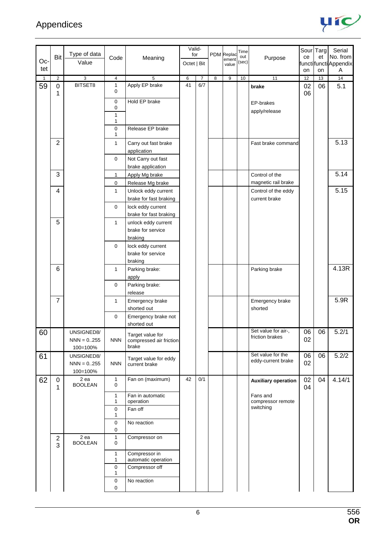

|              |                  |                        |                   |                                             | Valid-      |                |                         | PDM Replac       | Time         |                               |    | Sour Targ | Serial                      |
|--------------|------------------|------------------------|-------------------|---------------------------------------------|-------------|----------------|-------------------------|------------------|--------------|-------------------------------|----|-----------|-----------------------------|
| Oc-          | Bit              | Type of data<br>Value  | Code              | Meaning                                     | for         |                |                         | ement            | out<br>(sec) | Purpose                       | ce | et        | No. from                    |
| tet          |                  |                        |                   |                                             | Octet   Bit |                |                         | value            |              |                               | on | on        | functilfuncti Appendix<br>Α |
| $\mathbf{1}$ | $\overline{2}$   | 3                      | 4                 | 5                                           | 6           | $\overline{7}$ | $\overline{\mathbf{8}}$ | $\boldsymbol{9}$ | 10           | 11                            | 12 | 13        | 14                          |
| 59           | $\pmb{0}$        | BITSET8                | 1                 | Apply EP brake                              | 41          | 6/7            |                         |                  |              | brake                         | 02 | 06        | 5.1                         |
|              | 1                |                        | 0                 |                                             |             |                |                         |                  |              |                               | 06 |           |                             |
|              |                  |                        | 0                 | Hold EP brake                               |             |                |                         |                  |              | EP-brakes                     |    |           |                             |
|              |                  |                        | 0                 |                                             |             |                |                         |                  |              | apply/release                 |    |           |                             |
|              |                  |                        | 1<br>$\mathbf{1}$ |                                             |             |                |                         |                  |              |                               |    |           |                             |
|              |                  |                        | 0                 | Release EP brake                            |             |                |                         |                  |              |                               |    |           |                             |
|              |                  |                        | $\mathbf{1}$      |                                             |             |                |                         |                  |              |                               |    |           |                             |
|              | $\overline{2}$   |                        | 1                 | Carry out fast brake                        |             |                |                         |                  |              | Fast brake command            |    |           | 5.13                        |
|              |                  |                        |                   | application                                 |             |                |                         |                  |              |                               |    |           |                             |
|              |                  |                        | $\mathbf 0$       | Not Carry out fast                          |             |                |                         |                  |              |                               |    |           |                             |
|              | 3                |                        | $\mathbf{1}$      | brake application<br>Apply Mg brake         |             |                |                         |                  |              | Control of the                |    |           | 5.14                        |
|              |                  |                        | 0                 | Release Mg brake                            |             |                |                         |                  |              | magnetic rail brake           |    |           |                             |
|              | $\overline{4}$   |                        | 1                 | Unlock eddy current                         |             |                |                         |                  |              | Control of the eddy           |    |           | 5.15                        |
|              |                  |                        |                   | brake for fast braking                      |             |                |                         |                  |              | current brake                 |    |           |                             |
|              |                  |                        | 0                 | lock eddy current                           |             |                |                         |                  |              |                               |    |           |                             |
|              |                  |                        |                   | brake for fast braking                      |             |                |                         |                  |              |                               |    |           |                             |
|              | 5                |                        | $\mathbf{1}$      | unlock eddy current                         |             |                |                         |                  |              |                               |    |           |                             |
|              |                  |                        |                   | brake for service                           |             |                |                         |                  |              |                               |    |           |                             |
|              |                  |                        |                   | braking                                     |             |                |                         |                  |              |                               |    |           |                             |
|              |                  |                        | 0                 | lock eddy current<br>brake for service      |             |                |                         |                  |              |                               |    |           |                             |
|              |                  |                        |                   | braking                                     |             |                |                         |                  |              |                               |    |           |                             |
|              | $\,6$            |                        | 1                 | Parking brake:                              |             |                |                         |                  |              | Parking brake                 |    |           | 4.13R                       |
|              |                  |                        |                   | apply                                       |             |                |                         |                  |              |                               |    |           |                             |
|              |                  |                        | 0                 | Parking brake:                              |             |                |                         |                  |              |                               |    |           |                             |
|              |                  |                        |                   | release                                     |             |                |                         |                  |              |                               |    |           |                             |
|              | $\overline{7}$   |                        | 1                 | Emergency brake                             |             |                |                         |                  |              | Emergency brake               |    |           | 5.9R                        |
|              |                  |                        |                   | shorted out                                 |             |                |                         |                  |              | shorted                       |    |           |                             |
|              |                  |                        | 0                 | Emergency brake not                         |             |                |                         |                  |              |                               |    |           |                             |
|              |                  | UNSIGNED8/             |                   | shorted out                                 |             |                |                         |                  |              | Set value for air-,           | 06 | 06        | 5.2/1                       |
| 60           |                  | $NNN = 0.255$          | <b>NNN</b>        | Target value for<br>compressed air friction |             |                |                         |                  |              | friction brakes               | 02 |           |                             |
|              |                  | 100=100%               |                   | brake                                       |             |                |                         |                  |              |                               |    |           |                             |
| 61           |                  | UNSIGNED8/             |                   | Target value for eddy                       |             |                |                         |                  |              | Set value for the             | 06 | 06        | 5.2/2                       |
|              |                  | $NNN = 0.255$          | <b>NNN</b>        | current brake                               |             |                |                         |                  |              | eddy-current brake            | 02 |           |                             |
|              |                  | 100=100%               |                   |                                             |             |                |                         |                  |              |                               |    |           |                             |
| 62           | $\pmb{0}$        | 2 ea<br><b>BOOLEAN</b> | 1<br>0            | Fan on (maximum)                            | 42          | 0/1            |                         |                  |              | <b>Auxiliary operation</b>    | 02 | 04        | 4.14/1                      |
|              | 1                |                        |                   |                                             |             |                |                         |                  |              |                               | 04 |           |                             |
|              |                  |                        | 1<br>1            | Fan in automatic<br>operation               |             |                |                         |                  |              | Fans and<br>compressor remote |    |           |                             |
|              |                  |                        | 0                 | Fan off                                     |             |                |                         |                  |              | switching                     |    |           |                             |
|              |                  |                        | 1                 |                                             |             |                |                         |                  |              |                               |    |           |                             |
|              |                  |                        | 0<br>0            | No reaction                                 |             |                |                         |                  |              |                               |    |           |                             |
|              | $\boldsymbol{2}$ | 2 ea                   | 1                 | Compressor on                               |             |                |                         |                  |              |                               |    |           |                             |
|              | 3                | <b>BOOLEAN</b>         | 0                 |                                             |             |                |                         |                  |              |                               |    |           |                             |
|              |                  |                        | 1                 | Compressor in                               |             |                |                         |                  |              |                               |    |           |                             |
|              |                  |                        | 1                 | automatic operation                         |             |                |                         |                  |              |                               |    |           |                             |
|              |                  |                        | 0<br>1            | Compressor off                              |             |                |                         |                  |              |                               |    |           |                             |
|              |                  |                        | 0                 | No reaction                                 |             |                |                         |                  |              |                               |    |           |                             |
|              |                  |                        | 0                 |                                             |             |                |                         |                  |              |                               |    |           |                             |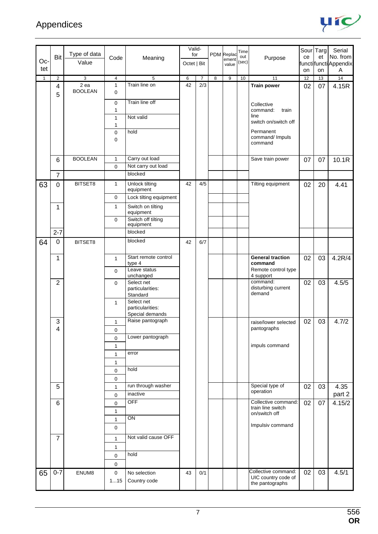

|     |                         |                |                     |                                             | Valid-      |                |   |                     | Time  |                                            |          | Sour Targ | Serial                    |
|-----|-------------------------|----------------|---------------------|---------------------------------------------|-------------|----------------|---|---------------------|-------|--------------------------------------------|----------|-----------|---------------------------|
| Oc- | Bit                     | Type of data   | Code                | Meaning                                     | for         |                |   | PDM Replac<br>ement | out   | Purpose                                    | ce       | et        | No. from                  |
| tet |                         | Value          |                     |                                             | Octet   Bit |                |   | value               | (sec) |                                            |          |           | functifunctiAppendix<br>Α |
| 1   | $\overline{2}$          | 3              | $\overline{4}$      | 5                                           | 6           | $\overline{7}$ | 8 | 9                   | 10    | 11                                         | on<br>12 | on<br>13  | 14                        |
|     | $\overline{\mathbf{4}}$ | 2 ea           | $\mathbf{1}$        | Train line on                               | 42          | 2/3            |   |                     |       | <b>Train power</b>                         | 02       | 07        | 4.15R                     |
|     | 5                       | <b>BOOLEAN</b> | $\mathbf 0$         |                                             |             |                |   |                     |       |                                            |          |           |                           |
|     |                         |                | 0                   | Train line off                              |             |                |   |                     |       | Collective                                 |          |           |                           |
|     |                         |                | 1                   |                                             |             |                |   |                     |       | command:<br>train                          |          |           |                           |
|     |                         |                | 1                   | Not valid                                   |             |                |   |                     |       | line<br>switch on/switch off               |          |           |                           |
|     |                         |                | 1<br>$\mathbf 0$    | hold                                        |             |                |   |                     |       | Permanent                                  |          |           |                           |
|     |                         |                | 0                   |                                             |             |                |   |                     |       | command/ Impuls                            |          |           |                           |
|     |                         |                |                     |                                             |             |                |   |                     |       | command                                    |          |           |                           |
|     | 6                       | <b>BOOLEAN</b> | $\mathbf{1}$        | Carry out load                              |             |                |   |                     |       | Save train power                           | 07       | 07        | 10.1R                     |
|     |                         |                | $\mathbf 0$         | Not carry out load                          |             |                |   |                     |       |                                            |          |           |                           |
|     | $\overline{7}$          |                |                     | blocked                                     |             |                |   |                     |       |                                            |          |           |                           |
| 63  | $\mathbf 0$             | BITSET8        | 1                   | Unlock tilting                              | 42          | 4/5            |   |                     |       | Tilting equipment                          | 02       | 20        | 4.41                      |
|     |                         |                |                     | equipment                                   |             |                |   |                     |       |                                            |          |           |                           |
|     |                         |                | 0<br>$\mathbf{1}$   | Lock tilting equipment<br>Switch on tilting |             |                |   |                     |       |                                            |          |           |                           |
|     | 1                       |                |                     | equipment                                   |             |                |   |                     |       |                                            |          |           |                           |
|     |                         |                | $\mathbf 0$         | Switch off tilting<br>equipment             |             |                |   |                     |       |                                            |          |           |                           |
|     | $2 - 7$                 |                |                     | blocked                                     |             |                |   |                     |       |                                            |          |           |                           |
| 64  | 0                       | BITSET8        |                     | blocked                                     | 42          | 6/7            |   |                     |       |                                            |          |           |                           |
|     |                         |                |                     |                                             |             |                |   |                     |       |                                            |          |           |                           |
|     | 1                       |                | $\mathbf{1}$        | Start remote control                        |             |                |   |                     |       | <b>General traction</b>                    | 02       | 03        | 4.2R/4                    |
|     |                         |                |                     | type 4<br>Leave status                      |             |                |   |                     |       | command<br>Remote control type             |          |           |                           |
|     |                         |                | $\mathbf 0$         | unchanged                                   |             |                |   |                     |       | 4 support                                  |          |           |                           |
|     | $\overline{2}$          |                | $\mathbf{0}$        | Select net<br>particularities:              |             |                |   |                     |       | command:<br>disturbing current             | 02       | 03        | 4.5/5                     |
|     |                         |                |                     | Standard                                    |             |                |   |                     |       | demand                                     |          |           |                           |
|     |                         |                | $\mathbf{1}$        | Select net                                  |             |                |   |                     |       |                                            |          |           |                           |
|     |                         |                |                     | particularities:<br>Special demands         |             |                |   |                     |       |                                            |          |           |                           |
|     | 3                       |                | $\mathbf{1}$        | Raise pantograph                            |             |                |   |                     |       | raise/lower selected                       | 02       | 03        | 4.7/2                     |
|     | 4                       |                | 0                   |                                             |             |                |   |                     |       | pantographs                                |          |           |                           |
|     |                         |                | $\mathbf 0$         | Lower pantograph                            |             |                |   |                     |       |                                            |          |           |                           |
|     |                         |                | $\mathbf{1}$        |                                             |             |                |   |                     |       | impuls command                             |          |           |                           |
|     |                         |                | $\mathbf{1}$        | error                                       |             |                |   |                     |       |                                            |          |           |                           |
|     |                         |                | 1<br>$\mathbf 0$    | hold                                        |             |                |   |                     |       |                                            |          |           |                           |
|     |                         |                | $\mathbf 0$         |                                             |             |                |   |                     |       |                                            |          |           |                           |
|     | 5                       |                | 1                   | run through washer                          |             |                |   |                     |       | Special type of                            | 02       | 03        | 4.35                      |
|     |                         |                | $\mathbf 0$         | inactive                                    |             |                |   |                     |       | operation                                  |          |           | part 2                    |
|     | $\,6\,$                 |                | $\mathsf{O}\xspace$ | <b>OFF</b>                                  |             |                |   |                     |       | Collective command:                        | 02       | 07        | 4.15/2                    |
|     |                         |                | 1                   |                                             |             |                |   |                     |       | train line switch<br>on/switch off         |          |           |                           |
|     |                         |                | 1                   | ON                                          |             |                |   |                     |       |                                            |          |           |                           |
|     |                         |                | $\pmb{0}$           |                                             |             |                |   |                     |       | Impulsiv command                           |          |           |                           |
|     | $\overline{7}$          |                | 1                   | Not valid cause OFF                         |             |                |   |                     |       |                                            |          |           |                           |
|     |                         |                | $\mathbf{1}$        |                                             |             |                |   |                     |       |                                            |          |           |                           |
|     |                         |                | $\mathbf 0$         | hold                                        |             |                |   |                     |       |                                            |          |           |                           |
|     |                         |                | $\mathbf 0$         |                                             |             |                |   |                     |       |                                            |          |           |                           |
| 65  | $0 - 7$                 | ENUM8          | $\mathbf 0$         | No selection                                | 43          | 0/1            |   |                     |       | Collective command:<br>UIC country code of | 02       | 03        | 4.5/1                     |
|     |                         |                | 115                 | Country code                                |             |                |   |                     |       | the pantographs                            |          |           |                           |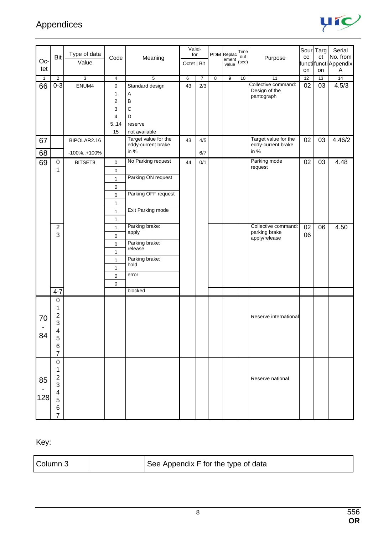

| Oc-          | Bit            | Type of data<br>Value | Code                | Meaning                                    | Valid-<br>for |                |                | PDM Replac<br>ement | Time<br>out<br>(sec) | Purpose                                    | ce | Sour Targ<br>et | Serial<br>No. from         |
|--------------|----------------|-----------------------|---------------------|--------------------------------------------|---------------|----------------|----------------|---------------------|----------------------|--------------------------------------------|----|-----------------|----------------------------|
| tet          |                |                       |                     |                                            | Octet   Bit   |                |                | value               |                      |                                            | on | on              | functifuncti Appendix<br>Α |
| $\mathbf{1}$ | $\overline{2}$ | 3                     | $\overline{4}$      | 5                                          | 6             | $\overline{7}$ | $\overline{8}$ | 9                   | 10                   | 11                                         | 12 | 13              | 14                         |
| 66           | $0 - 3$        | ENUM4                 | 0                   | Standard design                            | 43            | 2/3            |                |                     |                      | Collective command:                        | 02 | 03              | 4.5/3                      |
|              |                |                       | 1                   | Α                                          |               |                |                |                     |                      | Design of the<br>pantograph                |    |                 |                            |
|              |                |                       | 2                   | $\sf B$                                    |               |                |                |                     |                      |                                            |    |                 |                            |
|              |                |                       | 3                   | $\mathsf C$                                |               |                |                |                     |                      |                                            |    |                 |                            |
|              |                |                       | 4                   | D                                          |               |                |                |                     |                      |                                            |    |                 |                            |
|              |                |                       | 5.14                | reserve                                    |               |                |                |                     |                      |                                            |    |                 |                            |
|              |                |                       | 15                  | not available                              |               |                |                |                     |                      |                                            |    |                 |                            |
| 67           |                | BIPOLAR2.16           |                     | Target value for the<br>eddy-current brake | 43            | 4/5            |                |                     |                      | Target value for the<br>eddy-current brake | 02 | 03              | 4.46/2                     |
| 68           |                | $-100\%$ +100%        |                     | in %                                       |               | 6/7            |                |                     |                      | in %                                       |    |                 |                            |
| 69           | 0              | BITSET8               | $\mathbf 0$         | No Parking request                         | 44            | 0/1            |                |                     |                      | Parking mode<br>request                    | 02 | 03              | 4.48                       |
|              | 1              |                       | $\mathsf 0$         |                                            |               |                |                |                     |                      |                                            |    |                 |                            |
|              |                |                       | 1                   | Parking ON request                         |               |                |                |                     |                      |                                            |    |                 |                            |
|              |                |                       | $\mathbf 0$         |                                            |               |                |                |                     |                      |                                            |    |                 |                            |
|              |                |                       | $\mathbf 0$         | Parking OFF request                        |               |                |                |                     |                      |                                            |    |                 |                            |
|              |                |                       | $\mathbf{1}$        |                                            |               |                |                |                     |                      |                                            |    |                 |                            |
|              |                |                       | $\mathbf{1}$        | Exit Parking mode                          |               |                |                |                     |                      |                                            |    |                 |                            |
|              |                |                       | $\mathbf{1}$        |                                            |               |                |                |                     |                      |                                            |    |                 |                            |
|              | $\overline{c}$ |                       | $\mathbf{1}$        | Parking brake:                             |               |                |                |                     |                      | Collective command:                        | 02 | 06              | 4.50                       |
|              | 3              |                       | $\mathbf 0$         | apply                                      |               |                |                |                     |                      | parking brake                              | 06 |                 |                            |
|              |                |                       | $\mathsf{O}\xspace$ | Parking brake:                             |               |                |                |                     |                      | apply/release                              |    |                 |                            |
|              |                |                       | $\mathbf{1}$        | release                                    |               |                |                |                     |                      |                                            |    |                 |                            |
|              |                |                       | $\mathbf{1}$        | Parking brake:                             |               |                |                |                     |                      |                                            |    |                 |                            |
|              |                |                       | $\mathbf{1}$        | hold                                       |               |                |                |                     |                      |                                            |    |                 |                            |
|              |                |                       | $\pmb{0}$           | error                                      |               |                |                |                     |                      |                                            |    |                 |                            |
|              |                |                       | $\pmb{0}$           |                                            |               |                |                |                     |                      |                                            |    |                 |                            |
|              | $4 - 7$        |                       |                     | blocked                                    |               |                |                |                     |                      |                                            |    |                 |                            |
|              | $\pmb{0}$      |                       |                     |                                            |               |                |                |                     |                      |                                            |    |                 |                            |
|              | 1              |                       |                     |                                            |               |                |                |                     |                      |                                            |    |                 |                            |
|              | $\mathbf{2}$   |                       |                     |                                            |               |                |                |                     |                      | Reserve international                      |    |                 |                            |
| 70           | 3              |                       |                     |                                            |               |                |                |                     |                      |                                            |    |                 |                            |
|              | 4              |                       |                     |                                            |               |                |                |                     |                      |                                            |    |                 |                            |
| 84           | 5              |                       |                     |                                            |               |                |                |                     |                      |                                            |    |                 |                            |
|              | 6              |                       |                     |                                            |               |                |                |                     |                      |                                            |    |                 |                            |
|              | 7              |                       |                     |                                            |               |                |                |                     |                      |                                            |    |                 |                            |
|              | 0              |                       |                     |                                            |               |                |                |                     |                      |                                            |    |                 |                            |
|              | 1              |                       |                     |                                            |               |                |                |                     |                      |                                            |    |                 |                            |
| 85           | $\overline{c}$ |                       |                     |                                            |               |                |                |                     |                      | Reserve national                           |    |                 |                            |
|              | 3              |                       |                     |                                            |               |                |                |                     |                      |                                            |    |                 |                            |
| 128          | 4              |                       |                     |                                            |               |                |                |                     |                      |                                            |    |                 |                            |
|              | 5              |                       |                     |                                            |               |                |                |                     |                      |                                            |    |                 |                            |
|              | 6              |                       |                     |                                            |               |                |                |                     |                      |                                            |    |                 |                            |
|              | $\overline{7}$ |                       |                     |                                            |               |                |                |                     |                      |                                            |    |                 |                            |

Key:

|  | Column 3 |  | See Appendix F for the type of data |
|--|----------|--|-------------------------------------|
|--|----------|--|-------------------------------------|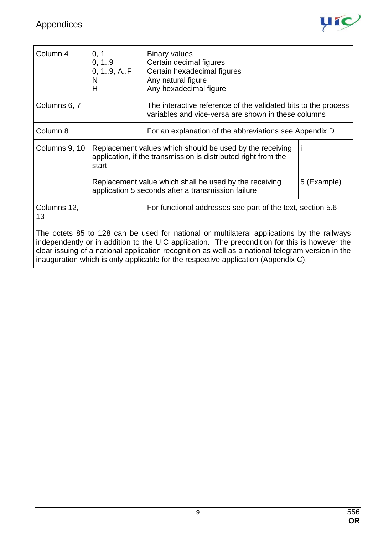

| Column 4          | 0, 1<br>0, 1.9<br>0, 19, AF<br>N<br>н | <b>Binary values</b><br>Certain decimal figures<br>Certain hexadecimal figures<br>Any natural figure<br>Any hexadecimal figure                                                                                                                                                                                                                                                         |             |
|-------------------|---------------------------------------|----------------------------------------------------------------------------------------------------------------------------------------------------------------------------------------------------------------------------------------------------------------------------------------------------------------------------------------------------------------------------------------|-------------|
| Columns 6, 7      |                                       | The interactive reference of the validated bits to the process<br>variables and vice-versa are shown in these columns                                                                                                                                                                                                                                                                  |             |
| Column 8          |                                       | For an explanation of the abbreviations see Appendix D                                                                                                                                                                                                                                                                                                                                 |             |
| Columns 9, 10     | start                                 | Replacement values which should be used by the receiving<br>application, if the transmission is distributed right from the                                                                                                                                                                                                                                                             |             |
|                   |                                       | Replacement value which shall be used by the receiving<br>application 5 seconds after a transmission failure                                                                                                                                                                                                                                                                           | 5 (Example) |
| Columns 12,<br>13 |                                       | For functional addresses see part of the text, section 5.6                                                                                                                                                                                                                                                                                                                             |             |
|                   |                                       | The octets 85 to 128 can be used for national or multilateral applications by the railways<br>independently or in addition to the UIC application. The precondition for this is however the<br>clear issuing of a national application recognition as well as a national telegram version in the<br>inauguration which is only applicable for the respective application (Appendix C). |             |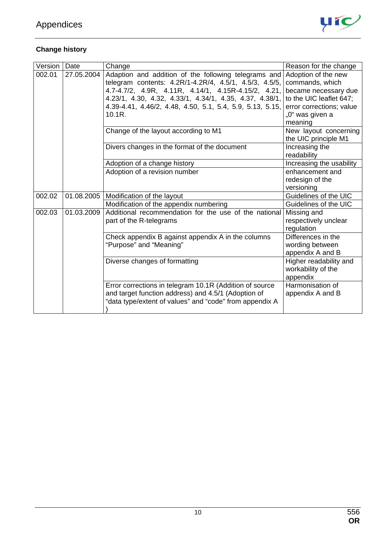

### **Change history**

| Version | Date       | Change                                                                                                                                                                                                                                                                                                  | Reason for the change                                                                                                                               |
|---------|------------|---------------------------------------------------------------------------------------------------------------------------------------------------------------------------------------------------------------------------------------------------------------------------------------------------------|-----------------------------------------------------------------------------------------------------------------------------------------------------|
| 002.01  | 27.05.2004 | Adaption and addition of the following telegrams and<br>telegram contents: 4.2R/1-4.2R/4, 4.5/1, 4.5/3, 4.5/5,<br>4.7-4.7/2, 4.9R, 4.11R, 4.14/1, 4.15R-4.15/2, 4.21,<br>4.23/1, 4.30, 4.32, 4.33/1, 4.34/1, 4.35, 4.37, 4.38/1,<br>4.39-4.41, 4.46/2, 4.48, 4.50, 5.1, 5.4, 5.9, 5.13, 5.15,<br>10.1R. | Adoption of the new<br>commands, which<br>became necessary due<br>to the UIC leaflet 647;<br>error corrections; value<br>"0" was given a<br>meaning |
|         |            | Change of the layout according to M1                                                                                                                                                                                                                                                                    | New layout concerning<br>the UIC principle M1                                                                                                       |
|         |            | Divers changes in the format of the document                                                                                                                                                                                                                                                            | Increasing the<br>readability                                                                                                                       |
|         |            | Adoption of a change history                                                                                                                                                                                                                                                                            | Increasing the usability                                                                                                                            |
|         |            | Adoption of a revision number                                                                                                                                                                                                                                                                           | enhancement and<br>redesign of the<br>versioning                                                                                                    |
| 002.02  | 01.08.2005 | Modification of the layout                                                                                                                                                                                                                                                                              | Guidelines of the UIC                                                                                                                               |
|         |            | Modification of the appendix numbering                                                                                                                                                                                                                                                                  | Guidelines of the UIC                                                                                                                               |
| 002.03  | 01.03.2009 | Additional recommendation for the use of the national<br>part of the R-telegrams                                                                                                                                                                                                                        | Missing and<br>respectively unclear<br>regulation                                                                                                   |
|         |            | Check appendix B against appendix A in the columns<br>"Purpose" and "Meaning"                                                                                                                                                                                                                           | Differences in the<br>wording between<br>appendix A and B                                                                                           |
|         |            | Diverse changes of formatting                                                                                                                                                                                                                                                                           | Higher readability and<br>workability of the<br>appendix                                                                                            |
|         |            | Error corrections in telegram 10.1R (Addition of source<br>and target function address) and 4.5/1 (Adoption of<br>"data type/extent of values" and "code" from appendix A                                                                                                                               | Harmonisation of<br>appendix A and B                                                                                                                |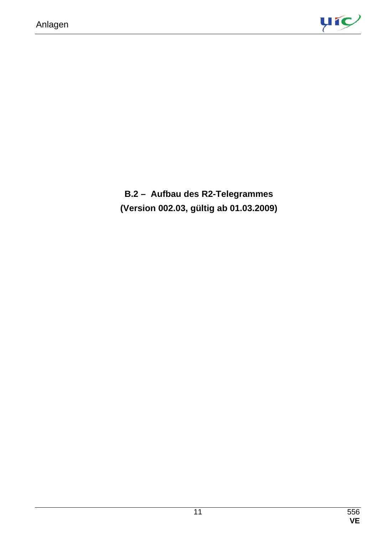

**B.2 – Aufbau des R2-Telegrammes (Version 002.03, gültig ab 01.03.2009)**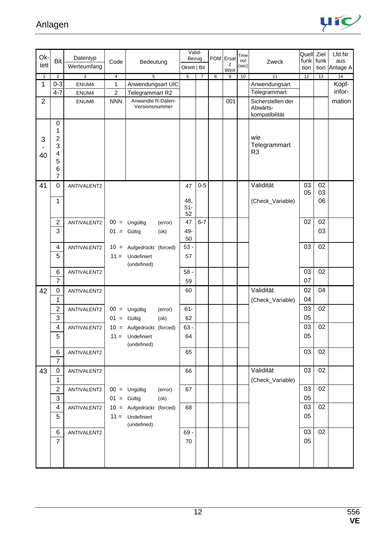

|                  |                                                                                                                                                                                                                              |                                                                                                                        |                                              |                                                                                                                                                                                                                                                                                                                                                       |                                                                                                         |                                                   |                | Time                                |                               |                                                                                            | Ziel                                                                                           | Lfd.Nr                                                                                          |
|------------------|------------------------------------------------------------------------------------------------------------------------------------------------------------------------------------------------------------------------------|------------------------------------------------------------------------------------------------------------------------|----------------------------------------------|-------------------------------------------------------------------------------------------------------------------------------------------------------------------------------------------------------------------------------------------------------------------------------------------------------------------------------------------------------|---------------------------------------------------------------------------------------------------------|---------------------------------------------------|----------------|-------------------------------------|-------------------------------|--------------------------------------------------------------------------------------------|------------------------------------------------------------------------------------------------|-------------------------------------------------------------------------------------------------|
|                  |                                                                                                                                                                                                                              | Code                                                                                                                   | Bedeutung                                    |                                                                                                                                                                                                                                                                                                                                                       |                                                                                                         |                                                   | z              | out<br>(sec)                        | Zweck                         |                                                                                            |                                                                                                | aus<br>Anlage A                                                                                 |
|                  |                                                                                                                                                                                                                              |                                                                                                                        |                                              |                                                                                                                                                                                                                                                                                                                                                       |                                                                                                         |                                                   |                |                                     |                               |                                                                                            |                                                                                                | 14                                                                                              |
| $0 - 3$          | ENUM4                                                                                                                                                                                                                        | 1                                                                                                                      |                                              |                                                                                                                                                                                                                                                                                                                                                       |                                                                                                         |                                                   |                |                                     |                               |                                                                                            |                                                                                                | Kopf-                                                                                           |
| $4 - 7$          | ENUM4                                                                                                                                                                                                                        | $\overline{c}$                                                                                                         | Telegrammart R2                              |                                                                                                                                                                                                                                                                                                                                                       |                                                                                                         |                                                   |                |                                     | Telegrammart                  |                                                                                            |                                                                                                | infor-                                                                                          |
|                  | ENUM8                                                                                                                                                                                                                        | <b>NNN</b>                                                                                                             | Anwandte R-Daten-<br>Versionsnummer          |                                                                                                                                                                                                                                                                                                                                                       |                                                                                                         |                                                   | 001            |                                     | Sicherstellen der<br>Abwärts- |                                                                                            |                                                                                                | mation                                                                                          |
|                  |                                                                                                                                                                                                                              |                                                                                                                        |                                              |                                                                                                                                                                                                                                                                                                                                                       |                                                                                                         |                                                   |                |                                     | kompatibilität                |                                                                                            |                                                                                                |                                                                                                 |
|                  |                                                                                                                                                                                                                              |                                                                                                                        |                                              |                                                                                                                                                                                                                                                                                                                                                       |                                                                                                         |                                                   |                |                                     |                               |                                                                                            |                                                                                                |                                                                                                 |
|                  |                                                                                                                                                                                                                              |                                                                                                                        |                                              |                                                                                                                                                                                                                                                                                                                                                       |                                                                                                         |                                                   |                |                                     | wie                           |                                                                                            |                                                                                                |                                                                                                 |
| 3                |                                                                                                                                                                                                                              |                                                                                                                        |                                              |                                                                                                                                                                                                                                                                                                                                                       |                                                                                                         |                                                   |                |                                     | Telegrammart                  |                                                                                            |                                                                                                |                                                                                                 |
|                  |                                                                                                                                                                                                                              |                                                                                                                        |                                              |                                                                                                                                                                                                                                                                                                                                                       |                                                                                                         |                                                   |                |                                     |                               |                                                                                            |                                                                                                |                                                                                                 |
|                  |                                                                                                                                                                                                                              |                                                                                                                        |                                              |                                                                                                                                                                                                                                                                                                                                                       |                                                                                                         |                                                   |                |                                     |                               |                                                                                            |                                                                                                |                                                                                                 |
| $\overline{7}$   |                                                                                                                                                                                                                              |                                                                                                                        |                                              |                                                                                                                                                                                                                                                                                                                                                       |                                                                                                         |                                                   |                |                                     |                               |                                                                                            |                                                                                                |                                                                                                 |
| $\boldsymbol{0}$ | ANTIVALENT2                                                                                                                                                                                                                  |                                                                                                                        |                                              | 47                                                                                                                                                                                                                                                                                                                                                    | $0-5$                                                                                                   |                                                   |                |                                     | Validität                     | 03                                                                                         | 02                                                                                             |                                                                                                 |
|                  |                                                                                                                                                                                                                              |                                                                                                                        |                                              |                                                                                                                                                                                                                                                                                                                                                       |                                                                                                         |                                                   |                |                                     |                               |                                                                                            |                                                                                                |                                                                                                 |
|                  |                                                                                                                                                                                                                              |                                                                                                                        |                                              |                                                                                                                                                                                                                                                                                                                                                       |                                                                                                         |                                                   |                |                                     |                               |                                                                                            |                                                                                                |                                                                                                 |
|                  |                                                                                                                                                                                                                              |                                                                                                                        |                                              | 52                                                                                                                                                                                                                                                                                                                                                    |                                                                                                         |                                                   |                |                                     |                               |                                                                                            |                                                                                                |                                                                                                 |
|                  |                                                                                                                                                                                                                              | $00 =$                                                                                                                 | (error)                                      |                                                                                                                                                                                                                                                                                                                                                       | $6 - 7$                                                                                                 |                                                   |                |                                     |                               |                                                                                            |                                                                                                |                                                                                                 |
|                  |                                                                                                                                                                                                                              |                                                                                                                        |                                              |                                                                                                                                                                                                                                                                                                                                                       |                                                                                                         |                                                   |                |                                     |                               |                                                                                            |                                                                                                |                                                                                                 |
|                  |                                                                                                                                                                                                                              |                                                                                                                        |                                              |                                                                                                                                                                                                                                                                                                                                                       |                                                                                                         |                                                   |                |                                     |                               |                                                                                            |                                                                                                |                                                                                                 |
|                  |                                                                                                                                                                                                                              |                                                                                                                        |                                              |                                                                                                                                                                                                                                                                                                                                                       |                                                                                                         |                                                   |                |                                     |                               |                                                                                            |                                                                                                |                                                                                                 |
|                  |                                                                                                                                                                                                                              |                                                                                                                        | (undefined)                                  |                                                                                                                                                                                                                                                                                                                                                       |                                                                                                         |                                                   |                |                                     |                               |                                                                                            |                                                                                                |                                                                                                 |
| 6                | ANTIVALENT2                                                                                                                                                                                                                  |                                                                                                                        |                                              | $58 -$                                                                                                                                                                                                                                                                                                                                                |                                                                                                         |                                                   |                |                                     |                               | 03                                                                                         | 02                                                                                             |                                                                                                 |
|                  |                                                                                                                                                                                                                              |                                                                                                                        |                                              | 59                                                                                                                                                                                                                                                                                                                                                    |                                                                                                         |                                                   |                |                                     |                               |                                                                                            |                                                                                                |                                                                                                 |
| $\mathbf 0$      | ANTIVALENT2                                                                                                                                                                                                                  |                                                                                                                        |                                              | 60                                                                                                                                                                                                                                                                                                                                                    |                                                                                                         |                                                   |                |                                     |                               |                                                                                            |                                                                                                |                                                                                                 |
|                  |                                                                                                                                                                                                                              |                                                                                                                        |                                              |                                                                                                                                                                                                                                                                                                                                                       |                                                                                                         |                                                   |                |                                     |                               |                                                                                            |                                                                                                |                                                                                                 |
|                  |                                                                                                                                                                                                                              |                                                                                                                        |                                              |                                                                                                                                                                                                                                                                                                                                                       |                                                                                                         |                                                   |                |                                     |                               |                                                                                            |                                                                                                |                                                                                                 |
|                  |                                                                                                                                                                                                                              |                                                                                                                        |                                              |                                                                                                                                                                                                                                                                                                                                                       |                                                                                                         |                                                   |                |                                     |                               |                                                                                            |                                                                                                |                                                                                                 |
|                  |                                                                                                                                                                                                                              |                                                                                                                        |                                              |                                                                                                                                                                                                                                                                                                                                                       |                                                                                                         |                                                   |                |                                     |                               |                                                                                            |                                                                                                |                                                                                                 |
|                  |                                                                                                                                                                                                                              |                                                                                                                        |                                              |                                                                                                                                                                                                                                                                                                                                                       |                                                                                                         |                                                   |                |                                     |                               |                                                                                            |                                                                                                |                                                                                                 |
| $\,6$            | ANTIVALENT2                                                                                                                                                                                                                  |                                                                                                                        |                                              | 65                                                                                                                                                                                                                                                                                                                                                    |                                                                                                         |                                                   |                |                                     |                               | 03                                                                                         | 02                                                                                             |                                                                                                 |
| $\overline{7}$   |                                                                                                                                                                                                                              |                                                                                                                        |                                              |                                                                                                                                                                                                                                                                                                                                                       |                                                                                                         |                                                   |                |                                     |                               |                                                                                            |                                                                                                |                                                                                                 |
| 0                | ANTIVALENT2                                                                                                                                                                                                                  |                                                                                                                        |                                              | 66                                                                                                                                                                                                                                                                                                                                                    |                                                                                                         |                                                   |                |                                     | Validität                     | 03                                                                                         | 02                                                                                             |                                                                                                 |
| $\mathbf{1}$     |                                                                                                                                                                                                                              |                                                                                                                        |                                              |                                                                                                                                                                                                                                                                                                                                                       |                                                                                                         |                                                   |                |                                     | (Check_Variable)              |                                                                                            |                                                                                                |                                                                                                 |
| 2                | ANTIVALENT2                                                                                                                                                                                                                  |                                                                                                                        | (error)                                      | 67                                                                                                                                                                                                                                                                                                                                                    |                                                                                                         |                                                   |                |                                     |                               |                                                                                            |                                                                                                |                                                                                                 |
|                  |                                                                                                                                                                                                                              |                                                                                                                        |                                              |                                                                                                                                                                                                                                                                                                                                                       |                                                                                                         |                                                   |                |                                     |                               |                                                                                            |                                                                                                |                                                                                                 |
|                  |                                                                                                                                                                                                                              |                                                                                                                        |                                              |                                                                                                                                                                                                                                                                                                                                                       |                                                                                                         |                                                   |                |                                     |                               |                                                                                            |                                                                                                |                                                                                                 |
|                  |                                                                                                                                                                                                                              |                                                                                                                        |                                              |                                                                                                                                                                                                                                                                                                                                                       |                                                                                                         |                                                   |                |                                     |                               |                                                                                            |                                                                                                |                                                                                                 |
|                  |                                                                                                                                                                                                                              |                                                                                                                        |                                              | $69 -$                                                                                                                                                                                                                                                                                                                                                |                                                                                                         |                                                   |                |                                     |                               | 03                                                                                         | 02                                                                                             |                                                                                                 |
| $\overline{7}$   |                                                                                                                                                                                                                              |                                                                                                                        |                                              | 70                                                                                                                                                                                                                                                                                                                                                    |                                                                                                         |                                                   |                |                                     |                               | 05                                                                                         |                                                                                                |                                                                                                 |
|                  |                                                                                                                                                                                                                              |                                                                                                                        |                                              |                                                                                                                                                                                                                                                                                                                                                       |                                                                                                         |                                                   |                |                                     |                               |                                                                                            |                                                                                                |                                                                                                 |
|                  |                                                                                                                                                                                                                              |                                                                                                                        |                                              |                                                                                                                                                                                                                                                                                                                                                       |                                                                                                         |                                                   |                |                                     |                               |                                                                                            |                                                                                                |                                                                                                 |
|                  | Bit<br>$\overline{2}$<br>$\pmb{0}$<br>1<br>2<br>$\overline{\mathcal{A}}$<br>5<br>6<br>$\mathbf{1}$<br>$\boldsymbol{2}$<br>3<br>4<br>5<br>$\overline{7}$<br>$\mathbf{1}$<br>$\overline{2}$<br>3<br>4<br>5<br>3<br>4<br>5<br>6 | Datentyp<br>Werteumfang<br>3<br>ANTIVALENT2<br>ANTIVALENT2<br>ANTIVALENT2<br>ANTIVALENT2<br>ANTIVALENT2<br>ANTIVALENT2 | $\overline{4}$<br>$10 =$<br>$11 =$<br>$01 =$ | $\overline{5}$<br>Anwendungsart UIC<br>Ungültig<br>$01 =$ Gültig<br>(ok)<br>Aufgedrückt (forced)<br>Undefiniert<br>$00 =$ Ungültig<br>(error)<br>Gültig<br>(ok)<br>10 = Aufgedrückt (forced)<br>$11 =$<br>Undefiniert<br>(undefined)<br>$00 =$ Ungültig<br>$01 =$ Gültig<br>(ok)<br>10 = Aufgedrückt (forced)<br>$11 =$<br>Undefiniert<br>(undefined) | $6\overline{6}$<br>48,<br>$51-$<br>47<br>49-<br>50<br>$53 -$<br>57<br>$61-$<br>62<br>$63 -$<br>64<br>68 | Valid-<br>Bezug<br>Oktett   Bit<br>$\overline{7}$ | $\overline{8}$ | PDM Ersat<br>Wert<br>$\overline{9}$ | 10                            | 11<br>Anwendungsart<br>R <sub>3</sub><br>(Check_Variable)<br>Validität<br>(Check_Variable) | tion<br>12<br>05<br>02<br>03<br>07<br>02<br>04<br>03<br>05<br>03<br>05<br>03<br>05<br>03<br>05 | Quell<br>funk<br>funk<br>tion<br>13<br>03<br>06<br>02<br>03<br>02<br>04<br>02<br>02<br>02<br>02 |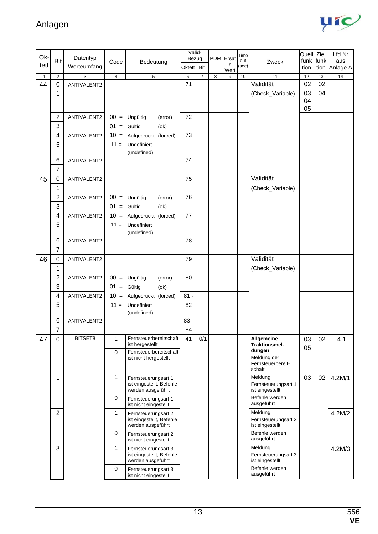

| Ok-          |                |                |                |                                                 | Valid-          |                |            |            | Time         |                                         | Quell Ziel |      | Lfd.Nr   |
|--------------|----------------|----------------|----------------|-------------------------------------------------|-----------------|----------------|------------|------------|--------------|-----------------------------------------|------------|------|----------|
| tett         | <b>Bit</b>     | Datentyp       | Code           | Bedeutung                                       | Bezug           |                | <b>PDM</b> | Ersat<br>z | out<br>(sec) | Zweck                                   | funk       | funk | aus      |
|              |                | Werteumfang    |                |                                                 | Oktett   Bit    |                |            | Wert       |              |                                         | tion       | tion | Anlage A |
| $\mathbf{1}$ | $\overline{2}$ | $\overline{3}$ | $\overline{4}$ | $\overline{5}$                                  | $6\overline{6}$ | $\overline{7}$ | 8          | 9          | 10           | 11<br>Validität                         | 12         | 13   | 14       |
| 44           | $\mathbf 0$    | ANTIVALENT2    |                |                                                 | 71              |                |            |            |              |                                         | 02         | 02   |          |
|              | 1              |                |                |                                                 |                 |                |            |            |              | (Check_Variable)                        | 03<br>04   | 04   |          |
|              |                |                |                |                                                 |                 |                |            |            |              |                                         | 05         |      |          |
|              | $\overline{2}$ | ANTIVALENT2    |                | $00 =$ Ungültig<br>(error)                      | 72              |                |            |            |              |                                         |            |      |          |
|              | 3              |                |                | $01 =$ Gültig<br>(ok)                           |                 |                |            |            |              |                                         |            |      |          |
|              | 4              | ANTIVALENT2    |                | 10 = Aufgedrückt (forced)                       | 73              |                |            |            |              |                                         |            |      |          |
|              | 5              |                | $11 =$         | Undefiniert                                     |                 |                |            |            |              |                                         |            |      |          |
|              |                |                |                | (undefined)                                     |                 |                |            |            |              |                                         |            |      |          |
|              | 6              | ANTIVALENT2    |                |                                                 | 74              |                |            |            |              |                                         |            |      |          |
|              | $\overline{7}$ |                |                |                                                 |                 |                |            |            |              |                                         |            |      |          |
| 45           | 0              | ANTIVALENT2    |                |                                                 | 75              |                |            |            |              | Validität                               |            |      |          |
|              | 1              |                |                |                                                 |                 |                |            |            |              | (Check_Variable)                        |            |      |          |
|              | $\overline{2}$ | ANTIVALENT2    |                | $00 =$ Ungültig<br>(error)                      | 76              |                |            |            |              |                                         |            |      |          |
|              | 3              |                |                | $01 =$ Gültig<br>(ok)                           |                 |                |            |            |              |                                         |            |      |          |
|              | 4              | ANTIVALENT2    | $10 =$         | Aufgedrückt (forced)                            | 77              |                |            |            |              |                                         |            |      |          |
|              | 5              |                | $11 =$         | Undefiniert                                     |                 |                |            |            |              |                                         |            |      |          |
|              |                |                |                | (undefined)                                     |                 |                |            |            |              |                                         |            |      |          |
|              | 6              | ANTIVALENT2    |                |                                                 | 78              |                |            |            |              |                                         |            |      |          |
|              | $\overline{7}$ |                |                |                                                 |                 |                |            |            |              |                                         |            |      |          |
| 46           | 0              | ANTIVALENT2    |                |                                                 | 79              |                |            |            |              | Validität                               |            |      |          |
|              | 1              |                |                |                                                 |                 |                |            |            |              | (Check_Variable)                        |            |      |          |
|              | $\overline{2}$ | ANTIVALENT2    |                | $00 =$ Ungültig<br>(error)                      | 80              |                |            |            |              |                                         |            |      |          |
|              | 3              |                |                | $01 =$ Gültig<br>$($ ok $)$                     |                 |                |            |            |              |                                         |            |      |          |
|              | 4              | ANTIVALENT2    |                | 10 = Aufgedrückt (forced)                       | $81 -$          |                |            |            |              |                                         |            |      |          |
|              | 5              |                | $11 =$         | Undefiniert                                     | 82              |                |            |            |              |                                         |            |      |          |
|              |                |                |                | (undefined)                                     |                 |                |            |            |              |                                         |            |      |          |
|              | 6              | ANTIVALENT2    |                |                                                 | $83 -$          |                |            |            |              |                                         |            |      |          |
|              | $\overline{7}$ |                |                |                                                 | 84              |                |            |            |              |                                         |            |      |          |
| 47           | $\Omega$       | BITSET8        | 1              | Fernsteuerbereitschaft<br>ist hergestellt       | 41              | 0/1            |            |            |              | Allgemeine<br>Traktionsmel-             | 03         | 02   | 4.1      |
|              |                |                | $\Omega$       | Fernsteuerbereitschaft                          |                 |                |            |            |              | dungen                                  | 05         |      |          |
|              |                |                |                | ist nicht hergestellt                           |                 |                |            |            |              | Meldung der<br>Fernsteuerbereit-        |            |      |          |
|              |                |                |                |                                                 |                 |                |            |            |              | schaft                                  |            |      |          |
|              | 1              |                | 1              | Fernsteuerungsart 1                             |                 |                |            |            |              | Meldung:                                | 03         | 02   | 4.2M/1   |
|              |                |                |                | ist eingestellt, Befehle<br>werden ausgeführt   |                 |                |            |            |              | Fernsteuerungsart 1<br>ist eingestellt, |            |      |          |
|              |                |                | $\mathbf 0$    | Fernsteuerungsart 1                             |                 |                |            |            |              | Befehle werden                          |            |      |          |
|              |                |                |                | ist nicht eingestellt                           |                 |                |            |            |              | ausgeführt                              |            |      |          |
|              | $\overline{2}$ |                | 1              | Fernsteuerungsart 2                             |                 |                |            |            |              | Meldung:                                |            |      | 4.2M/2   |
|              |                |                |                | ist eingestellt, Befehle<br>werden ausgeführt   |                 |                |            |            |              | Fernsteuerungsart 2<br>ist eingestellt, |            |      |          |
|              |                |                | $\mathbf 0$    | Fernsteuerungsart 2                             |                 |                |            |            |              | Befehle werden                          |            |      |          |
|              |                |                |                | ist nicht eingestellt                           |                 |                |            |            |              | ausgeführt                              |            |      |          |
|              | 3              |                | 1              | Fernsteuerungsart 3<br>ist eingestellt, Befehle |                 |                |            |            |              | Meldung:<br>Fernsteuerungsart 3         |            |      | 4.2M/3   |
|              |                |                |                | werden ausgeführt                               |                 |                |            |            |              | ist eingestellt,                        |            |      |          |
|              |                |                | $\pmb{0}$      | Fernsteuerungsart 3                             |                 |                |            |            |              | Befehle werden                          |            |      |          |
|              |                |                |                | ist nicht eingestellt                           |                 |                |            |            |              | ausgeführt                              |            |      |          |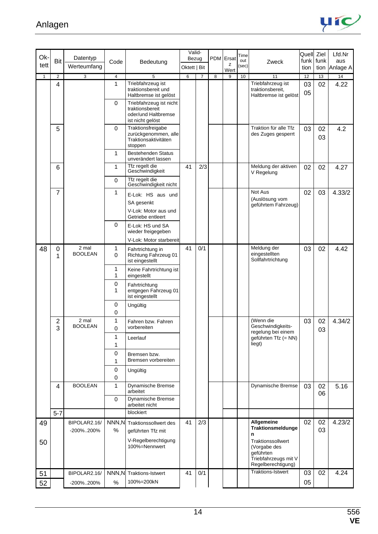

| Ok-          |                     | Datentyp                |                  |                                                             | Valid-                |                | <b>PDM</b> | Ersat     | Time         |                                                   | Quell Ziel   |              | Lfd.Nr          |
|--------------|---------------------|-------------------------|------------------|-------------------------------------------------------------|-----------------------|----------------|------------|-----------|--------------|---------------------------------------------------|--------------|--------------|-----------------|
| tett         | Bit                 | Werteumfang             | Code             | Bedeutung                                                   | Bezug<br>Oktett   Bit |                |            | z         | out<br>(sec) | Zweck                                             | funk<br>tion | funk<br>tion | aus<br>Anlage A |
| $\mathbf{1}$ | 2                   | 3                       | $\overline{4}$   | 5                                                           | 6                     | $\overline{7}$ | 8          | Wert<br>9 | 10           | 11                                                | 12           | 13           | 14              |
|              | 4                   |                         | 1                | Triebfahrzeug ist                                           |                       |                |            |           |              | Triebfahrzeug ist                                 | 03           | 02           | 4.22            |
|              |                     |                         |                  | traktionsbereit und                                         |                       |                |            |           |              | traktionsbereit,                                  | 05           |              |                 |
|              |                     |                         | $\mathbf 0$      | Haltbremse ist gelöst<br>Triebfahrzeug ist nicht            |                       |                |            |           |              | Haltbremse ist gelöst                             |              |              |                 |
|              |                     |                         |                  | traktionsbereit                                             |                       |                |            |           |              |                                                   |              |              |                 |
|              |                     |                         |                  | oder/und Haltbremse<br>ist nicht gelöst                     |                       |                |            |           |              |                                                   |              |              |                 |
|              | 5                   |                         | 0                | Traktionsfreigabe                                           |                       |                |            |           |              | Traktion für alle Tfz                             | 03           | 02           | 4.2             |
|              |                     |                         |                  | zurückgenommen, alle<br>Traktionsaktivitäten<br>stoppen     |                       |                |            |           |              | des Zuges gesperrt                                |              | 03           |                 |
|              |                     |                         | 1                | <b>Bestehenden Status</b><br>unverändert lassen             |                       |                |            |           |              |                                                   |              |              |                 |
|              | 6                   |                         | 1                | Tfz regelt die<br>Geschwindigkeit                           | 41                    | 2/3            |            |           |              | Meldung der aktiven<br>V Regelung                 | 02           | 02           | 4.27            |
|              |                     |                         | $\mathbf 0$      | Tfz regelt die<br>Geschwindigkeit nicht                     |                       |                |            |           |              |                                                   |              |              |                 |
|              | 7                   |                         | 1                | E-Lok: HS aus und                                           |                       |                |            |           |              | Not Aus                                           | 02           | 03           | 4.33/2          |
|              |                     |                         |                  | SA gesenkt                                                  |                       |                |            |           |              | (Auslösung vom<br>geführtem Fahrzeug)             |              |              |                 |
|              |                     |                         |                  | V-Lok: Motor aus und<br>Getriebe entleert                   |                       |                |            |           |              |                                                   |              |              |                 |
|              |                     |                         | 0                | E-Lok: HS und SA<br>wieder freigegeben                      |                       |                |            |           |              |                                                   |              |              |                 |
|              |                     |                         |                  | V-Lok: Motor starbereit                                     |                       |                |            |           |              |                                                   |              |              |                 |
| 48           | 0<br>1              | 2 mal<br><b>BOOLEAN</b> | 1<br>$\mathbf 0$ | Fahrtrichtung in<br>Richtung Fahrzeug 01<br>ist eingestellt | 41                    | 0/1            |            |           |              | Meldung der<br>eingestellten<br>Sollfahrtrichtung | 03           | 02           | 4.42            |
|              |                     |                         | 1<br>1           | Keine Fahrtrichtung ist<br>eingestellt                      |                       |                |            |           |              |                                                   |              |              |                 |
|              |                     |                         | 0                | Fahrtrichtung                                               |                       |                |            |           |              |                                                   |              |              |                 |
|              |                     |                         | 1                | entgegen Fahrzeug 01<br>ist eingestellt                     |                       |                |            |           |              |                                                   |              |              |                 |
|              |                     |                         | 0                | Ungültig                                                    |                       |                |            |           |              |                                                   |              |              |                 |
|              |                     |                         | 0                |                                                             |                       |                |            |           |              |                                                   |              |              |                 |
|              | $\overline{2}$<br>3 | 2 mal<br><b>BOOLEAN</b> | 1<br>0           | Fahren bzw. Fahren<br>vorbereiten                           |                       |                |            |           |              | (Wenn die<br>Geschwindigkeits-                    | 03           | 02<br>03     | 4.34/2          |
|              |                     |                         | 1                | Leerlauf                                                    |                       |                |            |           |              | regelung bei einem<br>geführten Tfz (= NN)        |              |              |                 |
|              |                     |                         | 1                |                                                             |                       |                |            |           |              | liegt)                                            |              |              |                 |
|              |                     |                         | 0                | Bremsen bzw.                                                |                       |                |            |           |              |                                                   |              |              |                 |
|              |                     |                         | 1                | Bremsen vorbereiten                                         |                       |                |            |           |              |                                                   |              |              |                 |
|              |                     |                         | 0                | Ungültig                                                    |                       |                |            |           |              |                                                   |              |              |                 |
|              | 4                   | <b>BOOLEAN</b>          | 0<br>1           | Dynamische Bremse                                           |                       |                |            |           |              | Dynamische Bremse                                 | 03           | 02           | 5.16            |
|              |                     |                         | $\mathbf 0$      | arbeitet<br>Dynamische Bremse                               |                       |                |            |           |              |                                                   |              | 06           |                 |
|              | $5 - 7$             |                         |                  | arbeitet nicht<br>blockiert                                 |                       |                |            |           |              |                                                   |              |              |                 |
| 49           |                     | BIPOLAR2.16/            |                  | NNN, N Traktionssollwert des                                | 41                    | 2/3            |            |           |              | Allgemeine                                        | 02           | 02           | 4.23/2          |
|              |                     | -200%200%               | %                | geführten Tfz mit                                           |                       |                |            |           |              | Traktionsmeldunge                                 |              | 03           |                 |
| 50           |                     |                         |                  | V-Regelberechtigung                                         |                       |                |            |           |              | n<br>Traktionssollwert                            |              |              |                 |
|              |                     |                         |                  | 100%=Nennwert                                               |                       |                |            |           |              | (Vorgabe des                                      |              |              |                 |
|              |                     |                         |                  |                                                             |                       |                |            |           |              | geführten<br>Triebfahrzeugs mit V                 |              |              |                 |
|              |                     |                         |                  |                                                             |                       |                |            |           |              | Regelberechtigung)                                |              |              |                 |
| 51           |                     | BIPOLAR2.16/            |                  | NNN, N Traktions-Istwert                                    | 41                    | 0/1            |            |           |              | <b>Traktions-Istwert</b>                          | 03           | 02           | 4.24            |
| 52           |                     | -200%200%               | $\%$             | 100%=200kN                                                  |                       |                |            |           |              |                                                   | 05           |              |                 |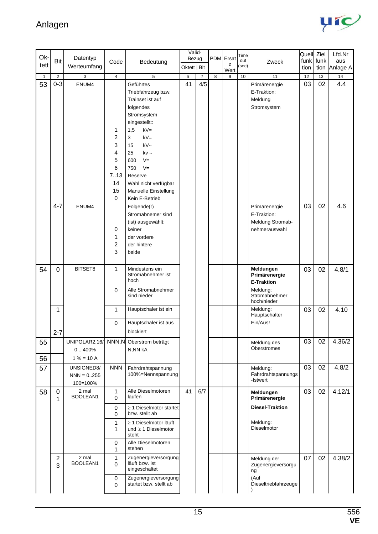

| Ok-          |                       |                                         |                                                               |                                                                                                                                                                                                                                                                   | Valid-       |                |                |            | Time         |                                                                                             | Quell Ziel      |      | Lfd.Nr   |
|--------------|-----------------------|-----------------------------------------|---------------------------------------------------------------|-------------------------------------------------------------------------------------------------------------------------------------------------------------------------------------------------------------------------------------------------------------------|--------------|----------------|----------------|------------|--------------|---------------------------------------------------------------------------------------------|-----------------|------|----------|
| tett         | Bit                   | Datentyp                                | Code                                                          | Bedeutung                                                                                                                                                                                                                                                         | Bezug        |                | PDM            | Ersat<br>z | out<br>(sec) | Zweck                                                                                       | funk            | funk | aus      |
|              |                       | Werteumfang                             |                                                               |                                                                                                                                                                                                                                                                   | Oktett   Bit |                |                | Wert       |              |                                                                                             | tion            | tion | Anlage A |
| $\mathbf{1}$ | $\overline{2}$        | 3                                       | $\overline{4}$                                                | 5                                                                                                                                                                                                                                                                 | 6            | $\overline{7}$ | $\overline{8}$ | 9          | 10           | 11                                                                                          | $\overline{12}$ | 13   | 14       |
| 53           | $0 - 3$               | ENUM4                                   | 1<br>2<br>3<br>4<br>5<br>6<br>7.13<br>14<br>15<br>$\mathbf 0$ | Geführtes<br>Triebfahrzeug bzw.<br>Trainset ist auf<br>folgendes<br>Stromsystem<br>eingestellt::<br>1,5<br>$kV =$<br>$kV =$<br>3<br>$kV \sim$<br>15<br>25<br>$kv \sim$<br>$V =$<br>600<br>$V =$<br>750<br>Reserve<br>Wahl nicht verfügbar<br>Manuelle Einstellung | 41           | 4/5            |                |            |              | Primärenergie<br>E-Traktion:<br>Meldung<br>Stromsystem                                      | 03              | 02   | 4.4      |
|              | $4 - 7$               | ENUM4                                   | 0<br>1<br>2<br>3                                              | Kein E-Betrieb<br>Folgende(r)<br>Stromabnemer sind<br>(ist) ausgewählt:<br>keiner<br>der vordere<br>der hintere<br>beide                                                                                                                                          |              |                |                |            |              | Primärenergie<br>E-Traktion:<br>Meldung Stromab-<br>nehmerauswahl                           | 03              | 02   | 4.6      |
| 54           | 0                     | BITSET8                                 | 1<br>$\Omega$                                                 | Mindestens ein<br>Stromabnehmer ist<br>hoch<br>Alle Stromabnehmer<br>sind nieder                                                                                                                                                                                  |              |                |                |            |              | Meldungen<br>Primärenergie<br><b>E-Traktion</b><br>Meldung:<br>Stromabnehmer<br>hoch/nieder | 03              | 02   | 4.8/1    |
|              | 1                     |                                         | 1                                                             | Hauptschaler ist ein                                                                                                                                                                                                                                              |              |                |                |            |              | Meldung:<br>Hauptschalter                                                                   | 03              | 02   | 4.10     |
|              |                       |                                         | $\mathbf 0$                                                   | Hauptschaler ist aus                                                                                                                                                                                                                                              |              |                |                |            |              | Ein/Aus!                                                                                    |                 |      |          |
|              | $2 - 7$               |                                         |                                                               | blockiert                                                                                                                                                                                                                                                         |              |                |                |            |              |                                                                                             |                 |      |          |
| 55<br>56     |                       | UNIPOLAR2.16/<br>0.400%<br>$1% = 10A$   | NNN,N                                                         | Oberstrom beträgt<br>N, NN kA                                                                                                                                                                                                                                     |              |                |                |            |              | Meldung des<br><b>Oberstromes</b>                                                           | 03              | 02   | 4.36/2   |
| 57           |                       | UNSIGNED8/<br>$NNN = 0.255$<br>100=100% | <b>NNN</b>                                                    | Fahrdrahtspannung<br>100%=Nennspannung                                                                                                                                                                                                                            |              |                |                |            |              | Meldung:<br>Fahrdrahtspannungs<br>-Istwert                                                  | 03              | 02   | 4.8/2    |
| 58           | 0<br>1                | 2 mal<br>BOOLEAN1                       | 1<br>$\Omega$                                                 | Alle Dieselmotoren<br>laufen                                                                                                                                                                                                                                      | 41           | 6/7            |                |            |              | Meldungen<br>Primärenergie                                                                  | 03              | 02   | 4.12/1   |
|              |                       |                                         | $\mathbf 0$<br>$\mathbf 0$                                    | $\geq$ 1 Dieselmotor startet<br>bzw. stellt ab                                                                                                                                                                                                                    |              |                |                |            |              | <b>Diesel-Traktion</b>                                                                      |                 |      |          |
|              |                       |                                         | 1<br>1<br>0                                                   | $\geq$ 1 Dieselmotor läuft<br>und $\geq 1$ Dieselmotor<br>steht<br>Alle Dieselmotoren                                                                                                                                                                             |              |                |                |            |              | Meldung:<br>Dieselmotor                                                                     |                 |      |          |
|              |                       |                                         | 1                                                             | stehen                                                                                                                                                                                                                                                            |              |                |                |            |              |                                                                                             |                 |      |          |
|              | $\boldsymbol{2}$<br>3 | 2 mal<br>BOOLEAN1                       | 1<br>$\mathbf 0$<br>0<br>$\mathbf 0$                          | Zugenergieversorgung<br>läuft bzw. ist<br>eingeschaltet<br>Zugenergieversorgung<br>startet bzw. stellt ab                                                                                                                                                         |              |                |                |            |              | Meldung der<br>Zugenergieversorgu<br>ng<br>(Auf<br>Dieseltriebfahrzeuge                     | 07              | 02   | 4.38/2   |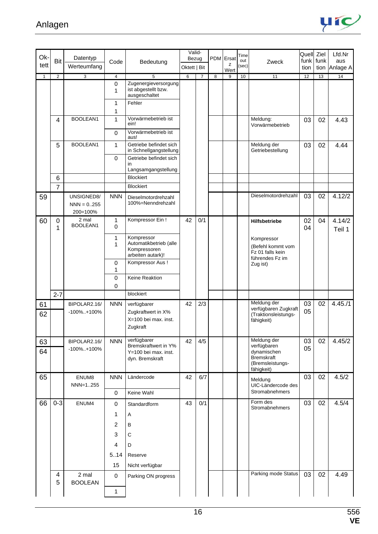

| Ok-          |                | Datentyp                                |                            |                                                                                | Valid-                |                |   | PDM Ersat | Time         |                                                                                                  | Quell Ziel   |              | Lfd.Nr           |
|--------------|----------------|-----------------------------------------|----------------------------|--------------------------------------------------------------------------------|-----------------------|----------------|---|-----------|--------------|--------------------------------------------------------------------------------------------------|--------------|--------------|------------------|
| tett         | Bit            | Werteumfang                             | Code                       | Bedeutung                                                                      | Bezug<br>Oktett   Bit |                |   | z         | out<br>(sec) | Zweck                                                                                            | funk<br>tion | funk<br>tion | aus<br>Anlage A  |
| $\mathbf{1}$ | $\overline{2}$ | 3                                       | $\overline{4}$             | 5                                                                              | 6                     | $\overline{7}$ | 8 | Wert<br>9 | 10           | 11                                                                                               | 12           | 13           | 14               |
|              |                |                                         | $\mathbf 0$<br>1           | Zugenergieversorgung<br>ist abgestellt bzw.<br>ausgeschaltet                   |                       |                |   |           |              |                                                                                                  |              |              |                  |
|              |                |                                         | 1<br>1                     | Fehler                                                                         |                       |                |   |           |              |                                                                                                  |              |              |                  |
|              | $\overline{4}$ | BOOLEAN1                                | $\mathbf{1}$               | Vorwärmebetrieb ist<br>ein!                                                    |                       |                |   |           |              | Meldung:<br>Vorwärmebetrieb                                                                      | 03           | 02           | 4.43             |
|              |                |                                         | $\mathbf 0$                | Vorwärmebetrieb ist<br>aus!                                                    |                       |                |   |           |              |                                                                                                  |              |              |                  |
|              | 5              | BOOLEAN1                                | 1                          | Getriebe befindet sich<br>in Schnellgangstellung                               |                       |                |   |           |              | Meldung der<br>Getriebestellung                                                                  | 03           | 02           | 4.44             |
|              |                |                                         | $\mathbf 0$                | Getriebe befindet sich<br>in<br>Langsamgangstellung                            |                       |                |   |           |              |                                                                                                  |              |              |                  |
|              | 6              |                                         |                            | <b>Blockiert</b>                                                               |                       |                |   |           |              |                                                                                                  |              |              |                  |
|              | $\overline{7}$ |                                         |                            | <b>Blockiert</b>                                                               |                       |                |   |           |              |                                                                                                  |              |              |                  |
| 59           |                | UNSIGNED8/<br>$NNN = 0.255$<br>200=100% | <b>NNN</b>                 | Dieselmotordrehzahl<br>100%=Nenndrehzahl                                       |                       |                |   |           |              | Dieselmotordrehzahl                                                                              | 03           | 02           | 4.12/2           |
| 60           | 0<br>1         | 2 mal<br>BOOLEAN1                       | 1<br>$\mathbf 0$           | Kompressor Ein!                                                                | 42                    | 0/1            |   |           |              | Hilfsbetriebe                                                                                    | 02<br>04     | 04           | 4.14/2<br>Teil 1 |
|              |                |                                         | 1<br>1                     | Kompressor<br>Automatikbetrieb (alle<br>Kompressoren<br>arbeiten autark)!      |                       |                |   |           |              | Kompressor<br>(Befehl kommt vom<br>Fz 01 falls kein<br>führendes Fz im                           |              |              |                  |
|              |                |                                         | $\mathbf 0$<br>1           | Kompressor Aus!                                                                |                       |                |   |           |              | Zug ist)                                                                                         |              |              |                  |
|              |                |                                         | $\mathbf 0$<br>$\mathbf 0$ | Keine Reaktion                                                                 |                       |                |   |           |              |                                                                                                  |              |              |                  |
|              | $2 - 7$        |                                         |                            | blockiert                                                                      |                       |                |   |           |              |                                                                                                  |              |              |                  |
| 61<br>62     |                | BIPOLAR2.16/<br>$-100\%$ +100%          | <b>NNN</b>                 | verfügbarer<br>Zugkraftwert in X%<br>X=100 bei max. inst.<br>Zugkraft          | 42                    | 2/3            |   |           |              | Meldung der<br>verfügbaren Zugkraft<br>(Traktionsleistungs-<br>fähigkeit)                        | 03<br>05     | 02           | 4.45/1           |
| 63<br>64     |                | BIPOLAR2.16/<br>$-100\%$ +100%          | <b>NNN</b>                 | verfügbarer<br>Bremskraftwert in Y%<br>Y=100 bei max. inst.<br>dyn. Bremskraft | 42                    | 4/5            |   |           |              | Meldung der<br>verfügbaren<br>dynamischen<br><b>Bremskraft</b><br>(Bremsleistungs-<br>fähigkeit) | 03<br>05     | 02           | 4.45/2           |
| 65           |                | ENUM8<br>NNN=1255                       | <b>NNN</b>                 | Ländercode                                                                     | 42                    | 6/7            |   |           |              | Meldung<br>UIC-Ländercode des                                                                    | 03           | 02           | 4.5/2            |
|              |                |                                         | 0                          | Keine Wahl                                                                     |                       |                |   |           |              | Stromabnehmers                                                                                   |              |              |                  |
| 66           | $0 - 3$        | ENUM4                                   | 0                          | Standardform                                                                   | 43                    | 0/1            |   |           |              | Form des<br>Stromabnehmers                                                                       | 03           | 02           | 4.5/4            |
|              |                |                                         | 1                          | Α                                                                              |                       |                |   |           |              |                                                                                                  |              |              |                  |
|              |                |                                         | $\overline{2}$             | B                                                                              |                       |                |   |           |              |                                                                                                  |              |              |                  |
|              |                |                                         | $\sqrt{3}$                 | $\mathsf C$                                                                    |                       |                |   |           |              |                                                                                                  |              |              |                  |
|              |                |                                         | $\overline{4}$             | D                                                                              |                       |                |   |           |              |                                                                                                  |              |              |                  |
|              |                |                                         | 5.14                       | Reserve                                                                        |                       |                |   |           |              |                                                                                                  |              |              |                  |
|              |                |                                         | 15                         | Nicht verfügbar                                                                |                       |                |   |           |              |                                                                                                  |              |              |                  |
|              | 4<br>5         | 2 mal<br><b>BOOLEAN</b>                 | $\mathbf 0$                | Parking ON progress                                                            |                       |                |   |           |              | Parking mode Status                                                                              | 03           | 02           | 4.49             |
|              |                |                                         | $\mathbf{1}$               |                                                                                |                       |                |   |           |              |                                                                                                  |              |              |                  |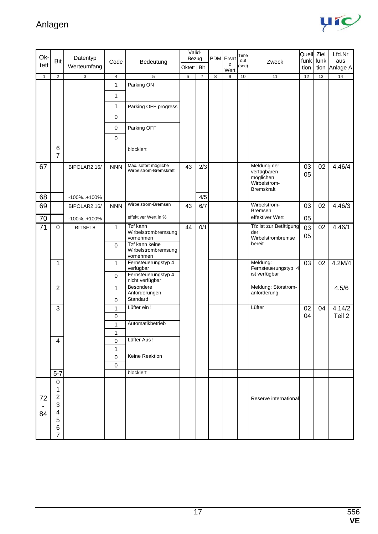

| Ok-          |                                                   | Datentyp       |                   |                                                    | Valid-<br>Bezug | PDM Ersat      |                | Time      |              | Quell Ziel                                                                   |          | Lfd.Nr    |                      |
|--------------|---------------------------------------------------|----------------|-------------------|----------------------------------------------------|-----------------|----------------|----------------|-----------|--------------|------------------------------------------------------------------------------|----------|-----------|----------------------|
| tett         | Bit                                               | Werteumfang    | Code              | Bedeutung                                          | Oktett   Bit    |                |                | z         | out<br>(sec) | Zweck                                                                        | tion     | funk funk | aus<br>tion Anlage A |
| $\mathbf{1}$ | $\overline{2}$                                    | $\overline{3}$ | 4                 | $\overline{5}$                                     | 6               | $\overline{7}$ | $\overline{8}$ | Wert<br>9 | 10           | 11                                                                           | 12       | 13        | 14                   |
|              |                                                   |                | 1                 | Parking ON                                         |                 |                |                |           |              |                                                                              |          |           |                      |
|              |                                                   |                | 1                 |                                                    |                 |                |                |           |              |                                                                              |          |           |                      |
|              |                                                   |                | 1                 | Parking OFF progress                               |                 |                |                |           |              |                                                                              |          |           |                      |
|              |                                                   |                | 0                 |                                                    |                 |                |                |           |              |                                                                              |          |           |                      |
|              |                                                   |                | 0                 | Parking OFF                                        |                 |                |                |           |              |                                                                              |          |           |                      |
|              |                                                   |                |                   |                                                    |                 |                |                |           |              |                                                                              |          |           |                      |
|              | 6                                                 |                | $\mathbf 0$       |                                                    |                 |                |                |           |              |                                                                              |          |           |                      |
|              | $\overline{7}$                                    |                |                   | blockiert                                          |                 |                |                |           |              |                                                                              |          |           |                      |
| 67           |                                                   | BIPOLAR2.16/   | <b>NNN</b>        | Max. sofort mögliche<br>Wirbelstrom-Bremskraft     | 43              | 2/3            |                |           |              | Meldung der<br>verfügbaren<br>möglichen<br>Wirbelstrom-<br><b>Bremskraft</b> | 03<br>05 | 02        | 4.46/4               |
| 68           |                                                   | $-100\%$ +100% |                   |                                                    |                 | 4/5            |                |           |              |                                                                              |          |           |                      |
| 69           |                                                   | BIPOLAR2.16/   | <b>NNN</b>        | Wirbelstrom-Bremsen                                | 43              | 6/7            |                |           |              | Wirbelstrom-<br>Bremsen                                                      | 03       | 02        | 4.46/3               |
| 70           |                                                   | -100%+100%     |                   | effektiver Wert in %                               |                 |                |                |           |              | effektiver Wert                                                              | 05       |           |                      |
| 71           | $\mathbf 0$                                       | BITSET8        | 1                 | Tzf kann<br>Wirbelstrombremsung<br>vornehmen       | 44              | 0/1            |                |           |              | Tfz ist zur Betätigung<br>der<br>Wirbelstrombremse                           | 03<br>05 | 02        | 4.46/1               |
|              |                                                   |                | $\mathbf 0$       | Tzf kann keine<br>Wirbelstrombremsung<br>vornehmen |                 |                |                |           |              | bereit                                                                       |          |           |                      |
|              | 1                                                 |                | $\mathbf{1}$      | Fernsteuerungstyp 4<br>verfügbar                   |                 |                |                |           |              | Meldung:<br>Fernsteuerungstyp 4                                              | 03       | 02        | 4.2M/4               |
|              |                                                   |                | $\mathbf 0$       | Fernsteuerungstyp 4<br>nicht verfügbar             |                 |                |                |           |              | ist verfügbar                                                                |          |           |                      |
|              | $\overline{2}$                                    |                | 1                 | Besondere<br>Anforderungen                         |                 |                |                |           |              | Meldung: Störstrom-<br>anforderung                                           |          |           | 4.5/6                |
|              |                                                   |                | 0                 | Standard                                           |                 |                |                |           |              |                                                                              |          |           |                      |
|              | 3                                                 |                | 1                 | Lüfter ein !                                       |                 |                |                |           |              | Lüfter                                                                       | 02       | 04        | 4.14/2               |
|              |                                                   |                | 0                 | Automatikbetrieb                                   |                 |                |                |           |              |                                                                              | 04       |           | Teil 2               |
|              |                                                   |                | 1<br>$\mathbf{1}$ |                                                    |                 |                |                |           |              |                                                                              |          |           |                      |
|              | 4                                                 |                | 0                 | Lüfter Aus!                                        |                 |                |                |           |              |                                                                              |          |           |                      |
|              |                                                   |                | 1                 |                                                    |                 |                |                |           |              |                                                                              |          |           |                      |
|              |                                                   |                | 0                 | Keine Reaktion                                     |                 |                |                |           |              |                                                                              |          |           |                      |
|              |                                                   |                | 0                 |                                                    |                 |                |                |           |              |                                                                              |          |           |                      |
|              | $5 - 7$                                           |                |                   | blockiert                                          |                 |                |                |           |              |                                                                              |          |           |                      |
| 72<br>84     | 0<br>1<br>$\overline{c}$<br>3<br>4<br>5<br>6<br>7 |                |                   |                                                    |                 |                |                |           |              | Reserve international                                                        |          |           |                      |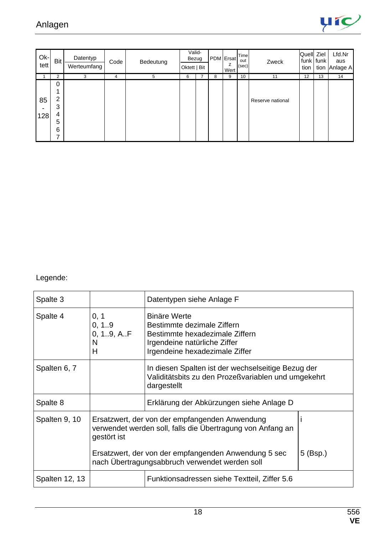

| $Ok-$<br>tett | Bit                                          | Datentyp<br>Werteumfang | Code | Bedeutung | Valid-<br>Bezug<br>Oktett   Bit |   | PDM Ersat<br>z<br>Wert | Time<br>out<br>(sec) | Zweck            | Quell Ziel<br>tion | funk tunk | Lfd.Nr<br>aus<br>tion Anlage A |
|---------------|----------------------------------------------|-------------------------|------|-----------|---------------------------------|---|------------------------|----------------------|------------------|--------------------|-----------|--------------------------------|
|               | 2                                            | 3                       | 4    | 5         | 6                               | 8 | 9                      | 10                   | 11               | 12                 | 13        | 14                             |
| 85<br>128     | 0<br>$\overline{2}$<br>3<br>4<br>5<br>6<br>⇁ |                         |      |           |                                 |   |                        |                      | Reserve national |                    |           |                                |

Legende:

| Spalte 3                                                                                                                                     |                                       | Datentypen siehe Anlage F                                                                                                                             |  |  |  |  |  |  |  |  |
|----------------------------------------------------------------------------------------------------------------------------------------------|---------------------------------------|-------------------------------------------------------------------------------------------------------------------------------------------------------|--|--|--|--|--|--|--|--|
| Spalte 4                                                                                                                                     | 0, 1<br>0, 1.9<br>0, 19, AF<br>N<br>Н | <b>Binäre Werte</b><br>Bestimmte dezimale Ziffern<br>Bestimmte hexadezimale Ziffern<br>Irgendeine natürliche Ziffer<br>Irgendeine hexadezimale Ziffer |  |  |  |  |  |  |  |  |
| Spalten 6, 7                                                                                                                                 |                                       | In diesen Spalten ist der wechselseitige Bezug der<br>Validitätsbits zu den Prozeßvariablen und umgekehrt<br>dargestellt                              |  |  |  |  |  |  |  |  |
| Spalte 8                                                                                                                                     |                                       | Erklärung der Abkürzungen siehe Anlage D                                                                                                              |  |  |  |  |  |  |  |  |
| Spalten 9, 10<br>Ersatzwert, der von der empfangenden Anwendung<br>verwendet werden soll, falls die Übertragung von Anfang an<br>gestört ist |                                       |                                                                                                                                                       |  |  |  |  |  |  |  |  |
|                                                                                                                                              |                                       | Ersatzwert, der von der empfangenden Anwendung 5 sec<br>$5$ (Bsp.)<br>nach Übertragungsabbruch verwendet werden soll                                  |  |  |  |  |  |  |  |  |
| Spalten 12, 13<br>Funktionsadressen siehe Textteil, Ziffer 5.6                                                                               |                                       |                                                                                                                                                       |  |  |  |  |  |  |  |  |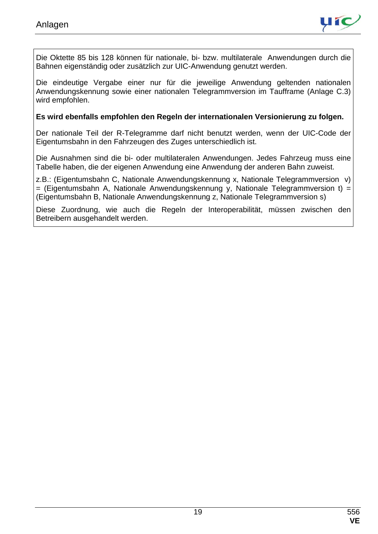

Die Oktette 85 bis 128 können für nationale, bi- bzw. multilaterale Anwendungen durch die Bahnen eigenständig oder zusätzlich zur UIC-Anwendung genutzt werden.

Die eindeutige Vergabe einer nur für die jeweilige Anwendung geltenden nationalen Anwendungskennung sowie einer nationalen Telegrammversion im Taufframe (Anlage C.3) wird empfohlen.

#### **Es wird ebenfalls empfohlen den Regeln der internationalen Versionierung zu folgen.**

Der nationale Teil der R-Telegramme darf nicht benutzt werden, wenn der UIC-Code der Eigentumsbahn in den Fahrzeugen des Zuges unterschiedlich ist.

Die Ausnahmen sind die bi- oder multilateralen Anwendungen. Jedes Fahrzeug muss eine Tabelle haben, die der eigenen Anwendung eine Anwendung der anderen Bahn zuweist.

z.B.: (Eigentumsbahn C, Nationale Anwendungskennung x, Nationale Telegrammversion v)  $=$  (Eigentumsbahn A, Nationale Anwendungskennung y, Nationale Telegrammversion t) = (Eigentumsbahn B, Nationale Anwendungskennung z, Nationale Telegrammversion s)

Diese Zuordnung, wie auch die Regeln der Interoperabilität, müssen zwischen den Betreibern ausgehandelt werden.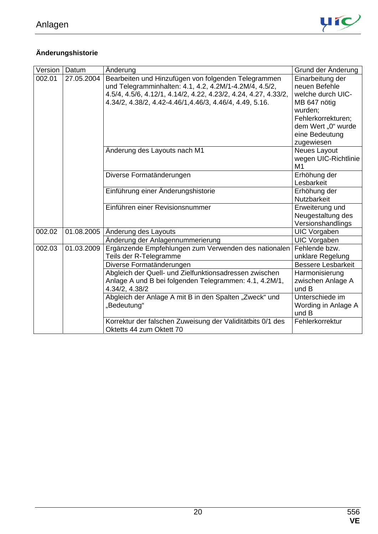

### **Änderungshistorie**

| Version | Datum      | Änderung                                                        | Grund der Änderung        |
|---------|------------|-----------------------------------------------------------------|---------------------------|
| 002.01  | 27.05.2004 | Bearbeiten und Hinzufügen von folgenden Telegrammen             | Einarbeitung der          |
|         |            | und Telegramminhalten: 4.1, 4.2, 4.2M/1-4.2M/4, 4.5/2,          | neuen Befehle             |
|         |            | 4.5/4, 4.5/6, 4.12/1, 4.14/2, 4.22, 4.23/2, 4.24, 4.27, 4.33/2, | welche durch UIC-         |
|         |            | 4.34/2, 4.38/2, 4.42-4.46/1, 4.46/3, 4.46/4, 4.49, 5.16.        | MB 647 nötig              |
|         |            |                                                                 | wurden;                   |
|         |            |                                                                 | Fehlerkorrekturen;        |
|         |            |                                                                 | dem Wert "0" wurde        |
|         |            |                                                                 | eine Bedeutung            |
|         |            |                                                                 | zugewiesen                |
|         |            | Anderung des Layouts nach M1                                    | Neues Layout              |
|         |            |                                                                 | wegen UIC-Richtlinie      |
|         |            |                                                                 | M1                        |
|         |            | Diverse Formatänderungen                                        | Erhöhung der              |
|         |            |                                                                 | Lesbarkeit                |
|         |            | Einführung einer Änderungshistorie                              | Erhöhung der              |
|         |            |                                                                 | <b>Nutzbarkeit</b>        |
|         |            | Einführen einer Revisionsnummer                                 | Erweiterung und           |
|         |            |                                                                 | Neugestaltung des         |
|         |            |                                                                 | Versionshandlings         |
| 002.02  | 01.08.2005 | Anderung des Layouts                                            | <b>UIC Vorgaben</b>       |
|         |            | Änderung der Anlagennummerierung                                | <b>UIC Vorgaben</b>       |
| 002.03  | 01.03.2009 | Ergänzende Empfehlungen zum Verwenden des nationalen            | Fehlende bzw.             |
|         |            | Teils der R-Telegramme                                          | unklare Regelung          |
|         |            | Diverse Formatänderungen                                        | <b>Bessere Lesbarkeit</b> |
|         |            | Abgleich der Quell- und Zielfunktionsadressen zwischen          | Harmonisierung            |
|         |            | Anlage A und B bei folgenden Telegrammen: 4.1, 4.2M/1,          | zwischen Anlage A         |
|         |            | 4.34/2, 4.38/2                                                  | und B                     |
|         |            | Abgleich der Anlage A mit B in den Spalten "Zweck" und          | Unterschiede im           |
|         |            | "Bedeutung"                                                     | Wording in Anlage A       |
|         |            |                                                                 | und B                     |
|         |            | Korrektur der falschen Zuweisung der Validitätbits 0/1 des      | Fehlerkorrektur           |
|         |            | Oktetts 44 zum Oktett 70                                        |                           |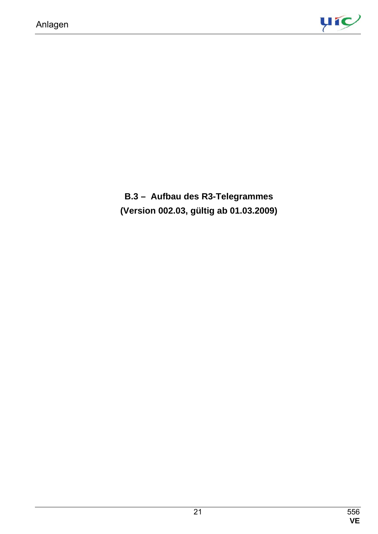

**B.3 – Aufbau des R3-Telegrammes (Version 002.03, gültig ab 01.03.2009)**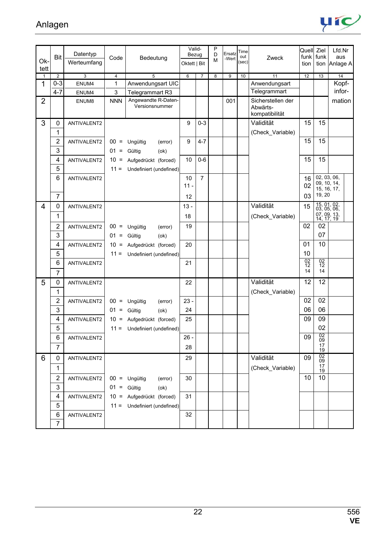

| Ok-<br>tett    | <b>Bit</b>     | Datentyp<br>Werteumfang | Code           | Bedeutung                             | Valid-<br>Bezug<br>Oktett   Bit |                | P<br>D<br>М             | Ersatz<br>-Wert | Time<br>out<br>(sec) | Zweck                                           | Quell Ziel<br>funk<br>tion | funk                                    | Lfd.Nr<br>aus<br>tion Anlage A |
|----------------|----------------|-------------------------|----------------|---------------------------------------|---------------------------------|----------------|-------------------------|-----------------|----------------------|-------------------------------------------------|----------------------------|-----------------------------------------|--------------------------------|
| $\mathbf{1}$   | 2              | $\overline{3}$          | $\overline{4}$ | $\overline{5}$                        | 6                               | $\overline{7}$ | $\overline{\mathbf{8}}$ | 9               | 10                   | 11                                              | 12                         | 13                                      | 14                             |
| 1              | $0 - 3$        | ENUM4                   | 1              | Anwendungsart UIC                     |                                 |                |                         |                 |                      | Anwendungsart                                   |                            |                                         | Kopf-                          |
|                | $4 - 7$        | ENUM4                   | 3              | Telegrammart R3                       |                                 |                |                         |                 |                      | Telegrammart                                    |                            |                                         | infor-                         |
| $\overline{2}$ |                | ENUM8                   | <b>NNN</b>     | Angewandte R-Daten-<br>Versionsnummer |                                 |                |                         | 001             |                      | Sicherstellen der<br>Abwärts-<br>kompatibilität |                            |                                         | mation                         |
| 3              | 0              | ANTIVALENT2             |                |                                       | 9                               | $0 - 3$        |                         |                 |                      | Validität                                       | 15                         | 15                                      |                                |
|                | 1              |                         |                |                                       |                                 |                |                         |                 |                      | (Check_Variable)                                |                            |                                         |                                |
|                | $\overline{c}$ | ANTIVALENT2             |                | $00 =$ Ungültig<br>(error)            | 9                               | $4 - 7$        |                         |                 |                      |                                                 | 15                         | 15                                      |                                |
|                | 3              |                         | $01 =$         | Gültig<br>(ok)                        |                                 |                |                         |                 |                      |                                                 |                            |                                         |                                |
|                | 4              | ANTIVALENT2             | $10 =$         | Aufgedrückt (forced)                  | 10                              | $0 - 6$        |                         |                 |                      |                                                 | 15                         | 15                                      |                                |
|                | 5              |                         |                | $11 =$ Undefiniert (undefined)        |                                 |                |                         |                 |                      |                                                 |                            |                                         |                                |
|                | 6              | ANTIVALENT2             |                |                                       | 10                              | $\overline{7}$ |                         |                 |                      |                                                 | 16                         | 02, 03, 06,                             |                                |
|                |                |                         |                |                                       | $11 -$                          |                |                         |                 |                      |                                                 | 02                         | 09, 10, 14,                             | 15, 16, 17,                    |
|                | $\overline{7}$ |                         |                |                                       | 12                              |                |                         |                 |                      |                                                 | 03                         | 19, 20                                  |                                |
| 4              | 0              | ANTIVALENT2             |                |                                       | $13 -$                          |                |                         |                 |                      | Validität                                       | 15                         | 15, 01, 02,<br>03, 05, 06,              |                                |
|                | 1              |                         |                |                                       | 18                              |                |                         |                 |                      | (Check Variable)                                |                            | 07, 09, 13, 14, 17, 19                  |                                |
|                | 2              | ANTIVALENT2             |                | $00 =$ Ungültig<br>(error)            | 19                              |                |                         |                 |                      |                                                 | 02                         | 02                                      |                                |
|                | 3              |                         | $01 =$         | Gültig<br>(ok)                        |                                 |                |                         |                 |                      |                                                 |                            | 07                                      |                                |
|                | 4              | ANTIVALENT2             |                | 10 = Aufgedrückt (forced)             | 20                              |                |                         |                 |                      |                                                 | 01                         | 10                                      |                                |
|                | 5              |                         | $11 =$         | Undefiniert (undefined)               |                                 |                |                         |                 |                      |                                                 | 10                         |                                         |                                |
|                | 6              | ANTIVALENT2             |                |                                       | 21                              |                |                         |                 |                      |                                                 | $\frac{02}{12}$            | $^{02}_{12}$                            |                                |
|                | 7              |                         |                |                                       |                                 |                |                         |                 |                      |                                                 | 14                         | 14                                      |                                |
| 5              | 0              | ANTIVALENT2             |                |                                       | 22                              |                |                         |                 |                      | Validität                                       | 12                         | 12                                      |                                |
|                | 1              |                         |                |                                       |                                 |                |                         |                 |                      | (Check_Variable)                                |                            |                                         |                                |
|                | 2              | ANTIVALENT2             |                | $00 =$ Ungültig<br>(error)            | $23 -$                          |                |                         |                 |                      |                                                 | 02                         | 02                                      |                                |
|                | 3              |                         | $01 =$ Gültig  | (ok)                                  | 24                              |                |                         |                 |                      |                                                 | 06                         | 06                                      |                                |
|                | 4              | ANTIVALENT2             |                | 10 = Aufgedrückt (forced)             | 25                              |                |                         |                 |                      |                                                 | 09                         | 09                                      |                                |
|                | 5              |                         |                | 11 = Undefiniert (undefined)          |                                 |                |                         |                 |                      |                                                 |                            | 02                                      |                                |
|                | 6              | ANTIVALENT2             |                |                                       | $26 -$                          |                |                         |                 |                      |                                                 | 09                         | 02<br>09                                |                                |
|                | $\overline{7}$ |                         |                |                                       | 28                              |                |                         |                 |                      |                                                 |                            | $\frac{17}{19}$                         |                                |
| 6              | 0              | ANTIVALENT2             |                |                                       | 29                              |                |                         |                 |                      | Validität                                       | 09                         | $\frac{02}{09}$                         |                                |
|                | 1              |                         |                |                                       |                                 |                |                         |                 |                      | (Check_Variable)                                |                            | $\begin{array}{c} 17 \\ 19 \end{array}$ |                                |
|                | $\overline{2}$ | ANTIVALENT2             |                | $00 =$ Ungültig<br>(error)            | 30                              |                |                         |                 |                      |                                                 | 10                         | 10                                      |                                |
|                | 3              |                         | $01 =$ Gültig  | (ok)                                  |                                 |                |                         |                 |                      |                                                 |                            |                                         |                                |
|                | 4              | ANTIVALENT2             |                | 10 = Aufgedrückt (forced)             | 31                              |                |                         |                 |                      |                                                 |                            |                                         |                                |
|                | 5              |                         |                | $11 =$ Undefiniert (undefined)        |                                 |                |                         |                 |                      |                                                 |                            |                                         |                                |
|                | 6              | ANTIVALENT2             |                |                                       | 32                              |                |                         |                 |                      |                                                 |                            |                                         |                                |
|                | $\overline{7}$ |                         |                |                                       |                                 |                |                         |                 |                      |                                                 |                            |                                         |                                |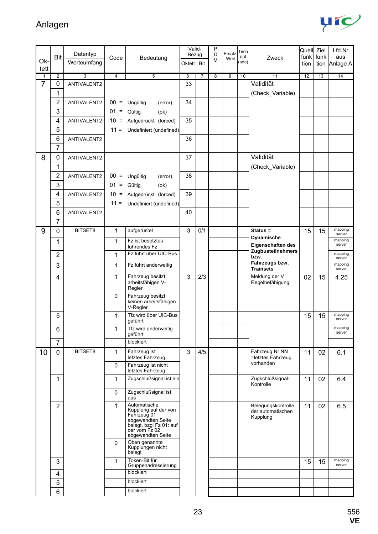

| Ok-                            | <b>Bit</b>          | Datentyp                      | Code           | Bedeutung                                                                                                                                 | Valid-<br>Bezug |                | P<br>D<br>M | Ersatz<br>-Wert | Time<br>out<br>(sec) | Zweck                                               | Quell Ziel | funk funk | Lfd.Nr<br>aus     |
|--------------------------------|---------------------|-------------------------------|----------------|-------------------------------------------------------------------------------------------------------------------------------------------|-----------------|----------------|-------------|-----------------|----------------------|-----------------------------------------------------|------------|-----------|-------------------|
| tett                           |                     | Werteumfang                   |                |                                                                                                                                           | Oktett   Bit    |                |             |                 |                      |                                                     | tion       |           | tion Anlage A     |
| $\mathbf{1}$<br>$\overline{7}$ | $\overline{2}$<br>0 | $\overline{3}$<br>ANTIVALENT2 | $\overline{4}$ | $\overline{5}$                                                                                                                            | 6<br>33         | $\overline{7}$ | 8           | 9               | 10                   | 11<br>Validität                                     | 12         | 13        | 14                |
|                                | 1                   |                               |                |                                                                                                                                           |                 |                |             |                 |                      | (Check_Variable)                                    |            |           |                   |
|                                | $\overline{2}$      | ANTIVALENT2                   |                | $00 =$ Ungültig<br>(error)                                                                                                                | 34              |                |             |                 |                      |                                                     |            |           |                   |
|                                | 3                   |                               | $01 =$         | Gültig<br>(ok)                                                                                                                            |                 |                |             |                 |                      |                                                     |            |           |                   |
|                                | 4                   | ANTIVALENT2                   | $10 =$         | Aufgedrückt (forced)                                                                                                                      | 35              |                |             |                 |                      |                                                     |            |           |                   |
|                                | 5                   |                               |                | $11 =$ Undefiniert (undefined)                                                                                                            |                 |                |             |                 |                      |                                                     |            |           |                   |
|                                | 6                   | ANTIVALENT2                   |                |                                                                                                                                           | 36              |                |             |                 |                      |                                                     |            |           |                   |
|                                | $\overline{7}$      |                               |                |                                                                                                                                           |                 |                |             |                 |                      |                                                     |            |           |                   |
| 8                              | 0                   | ANTIVALENT2                   |                |                                                                                                                                           | 37              |                |             |                 |                      | Validität                                           |            |           |                   |
|                                | 1<br>$\mathbf 2$    | ANTIVALENT2                   | $00 =$         | Ungültig                                                                                                                                  | 38              |                |             |                 |                      | (Check Variable)                                    |            |           |                   |
|                                | 3                   |                               | $01 =$         | (error)<br>Gültig<br>(ok)                                                                                                                 |                 |                |             |                 |                      |                                                     |            |           |                   |
|                                | 4                   | ANTIVALENT2                   | $10 =$         | Aufgedrückt (forced)                                                                                                                      | 39              |                |             |                 |                      |                                                     |            |           |                   |
|                                | 5                   |                               | $11 =$         | Undefiniert (undefined)                                                                                                                   |                 |                |             |                 |                      |                                                     |            |           |                   |
|                                | 6                   | ANTIVALENT2                   |                |                                                                                                                                           | 40              |                |             |                 |                      |                                                     |            |           |                   |
|                                | $\overline{7}$      |                               |                |                                                                                                                                           |                 |                |             |                 |                      |                                                     |            |           |                   |
| 9                              | $\mathbf 0$         | BITSET8                       | 1              | aufgerüstet                                                                                                                               | 3               | 0/1            |             |                 |                      | $Status =$                                          | 15         | 15        | mapping<br>server |
|                                | 1                   |                               | 1              | Fz ist besetztes<br>führendes Fz                                                                                                          |                 |                |             |                 |                      | <b>Dynamische</b><br>Eigenschaften des              |            |           | mapping<br>server |
|                                | $\overline{2}$      |                               | $\mathbf{1}$   | Fz führt über UIC-Bus                                                                                                                     |                 |                |             |                 |                      | Zugbusteilnehmers<br>bzw.                           |            |           | mapping<br>server |
|                                | 3                   |                               | $\mathbf{1}$   | Fz führt anderweitig                                                                                                                      |                 |                |             |                 |                      | Fahrzeugs bzw.<br><b>Trainsets</b>                  |            |           | mapping<br>server |
|                                | 4                   |                               | 1              | Fahrzeug besitzt<br>arbeitsfähigen V-<br>Regler                                                                                           | 3               | 2/3            |             |                 |                      | Meldung der V<br>Regelbefähigung                    | 02         | 15        | 4.25              |
|                                |                     |                               | $\mathbf{0}$   | Fahrzeug besitzt<br>keinen arbeitsfähigen<br>V-Regler                                                                                     |                 |                |             |                 |                      |                                                     |            |           |                   |
|                                | 5                   |                               | 1              | Tfz wird über UIC-Bus<br>geführt                                                                                                          |                 |                |             |                 |                      |                                                     | 15         | 15        | mapping<br>server |
|                                | 6                   |                               | 1              | Tfz wird anderweitig<br>geführt                                                                                                           |                 |                |             |                 |                      |                                                     |            |           | mapping<br>server |
|                                | $\overline{7}$      |                               |                | blockiert                                                                                                                                 |                 |                |             |                 |                      |                                                     |            |           |                   |
| 10                             | $\mathbf 0$         | BITSET8                       | 1              | Fahrzeug ist<br>letztes Fahrzeug                                                                                                          | 3               | 4/5            |             |                 |                      | Fahrzeug Nr NN<br>=letztes Fahrzeug                 | 11         | 02        | 6.1               |
|                                |                     |                               | $\Omega$       | Fahrzeug ist nicht<br>letztes Fahrzeug                                                                                                    |                 |                |             |                 |                      | vorhanden                                           |            |           |                   |
|                                | 1                   |                               | 1              | Zugschlußsignal ist ein                                                                                                                   |                 |                |             |                 |                      | Zugschlußsignal-<br>Kontrolle                       | 11         | 02        | 6.4               |
|                                |                     |                               | $\mathbf 0$    | Zugschlußsignal ist<br>aus                                                                                                                |                 |                |             |                 |                      |                                                     |            |           |                   |
|                                | $\overline{2}$      |                               | 1              | Automatische<br>Kupplung auf der von<br>Fahrzeug 01<br>abgewandten Seite<br>belegt, bzgl Fz 01: auf<br>der vom Fz 02<br>abgewandten Seite |                 |                |             |                 |                      | Belegungskontrolle<br>der automatischen<br>Kupplung | 11         | 02        | 6.5               |
|                                |                     |                               | $\mathbf{0}$   | Oben genannte<br>Kupplungen nicht<br>belegt                                                                                               |                 |                |             |                 |                      |                                                     |            |           |                   |
|                                | 3                   |                               | 1              | Token-Bit für<br>Gruppenadressierung                                                                                                      |                 |                |             |                 |                      |                                                     | 15         | 15        | mapping<br>server |
|                                | 4                   |                               |                | blockiert                                                                                                                                 |                 |                |             |                 |                      |                                                     |            |           |                   |
|                                | 5                   |                               |                | blockiert                                                                                                                                 |                 |                |             |                 |                      |                                                     |            |           |                   |
|                                | $\,6$               |                               |                | blockiert                                                                                                                                 |                 |                |             |                 |                      |                                                     |            |           |                   |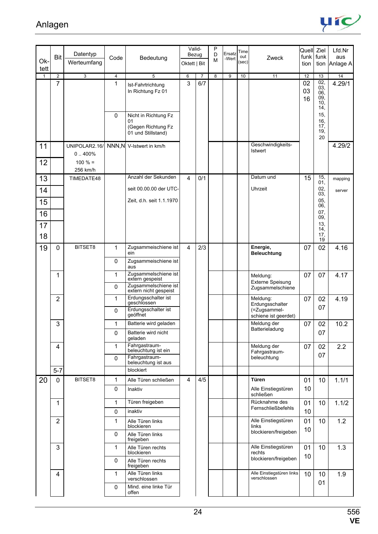

| Ok-          | <b>Bit</b>          | Datentyp<br>Werteumfang | Code                | Bedeutung                                      | Valid-<br>Bezug<br>Oktett   Bit |                       | P<br>D<br>M    | Ersatz<br>-Wert | Time<br>out<br>(sec) | Zweck                                     | Quell Ziel<br>funk<br>tion | funk                                               | Lfd.Nr<br>aus<br>tion Anlage A |
|--------------|---------------------|-------------------------|---------------------|------------------------------------------------|---------------------------------|-----------------------|----------------|-----------------|----------------------|-------------------------------------------|----------------------------|----------------------------------------------------|--------------------------------|
| tett         |                     |                         |                     |                                                |                                 |                       |                |                 |                      |                                           |                            |                                                    |                                |
| $\mathbf{1}$ | $\overline{2}$<br>7 | $\overline{3}$          | $\overline{4}$<br>1 | $\overline{5}$<br>Ist-Fahrtrichtung            | 6<br>3                          | $\overline{7}$<br>6/7 | $\overline{8}$ | $\overline{9}$  | 10                   | 11                                        | 12<br>02                   | 13<br>02,                                          | 14<br>4.29/1                   |
|              |                     |                         | $\Omega$            | In Richtung Fz 01<br>Nicht in Richtung Fz      |                                 |                       |                |                 |                      |                                           | 03<br>16                   | 03,<br>06.<br>09.<br>10 <sub>1</sub><br>14,<br>15, |                                |
|              |                     |                         |                     | 01<br>(Gegen Richtung Fz<br>01 und Stillstand) |                                 |                       |                |                 |                      |                                           |                            | 16,<br>17,<br>19,<br>20                            |                                |
| 11           |                     | UNIPOLAR2.16/<br>0.400% |                     | NNN, N V-Istwert in km/h                       |                                 |                       |                |                 |                      | Geschwindigkeits-<br>Istwert              |                            |                                                    | 4.29/2                         |
| 12           |                     | $100 \% =$<br>256 km/h  |                     |                                                |                                 |                       |                |                 |                      |                                           |                            |                                                    |                                |
| 13           |                     | TIMEDATE48              |                     | Anzahl der Sekunden                            | 4                               | 0/1                   |                |                 |                      | Datum und                                 | 15                         | 15,<br>01,                                         | mapping                        |
| 14           |                     |                         |                     | seit 00.00.00 der UTC-                         |                                 |                       |                |                 |                      | Uhrzeit                                   |                            | 02,<br>03,                                         | server                         |
| 15<br>16     |                     |                         |                     | Zeit, d.h. seit 1.1.1970                       |                                 |                       |                |                 |                      |                                           |                            | 05,<br>06,<br>07,                                  |                                |
|              |                     |                         |                     |                                                |                                 |                       |                |                 |                      |                                           |                            | 09,<br>13,                                         |                                |
| 17<br>18     |                     |                         |                     |                                                |                                 |                       |                |                 |                      |                                           |                            | 14,<br>17,<br>19                                   |                                |
| 19           | 0                   | BITSET8                 | 1                   | Zugsammeischiene ist<br>ein                    | 4                               | 2/3                   |                |                 |                      | Energie,<br><b>Beleuchtung</b>            | 07                         | 02                                                 | 4.16                           |
|              |                     |                         | $\Omega$            | Zugsammeischiene ist<br>aus                    |                                 |                       |                |                 |                      |                                           |                            |                                                    |                                |
|              | 1                   |                         | 1                   | Zugsammelschiene ist<br>extern gespeist        |                                 |                       |                |                 |                      | Meldung:<br>Externe Speisung              | 07                         | 07                                                 | 4.17                           |
|              |                     |                         | $\Omega$            | Zugsammelschiene ist<br>extern nicht gespeist  |                                 |                       |                |                 |                      | Zugsammelschiene                          |                            |                                                    |                                |
|              | $\overline{2}$      |                         | 1                   | Erdungsschalter ist<br>geschlossen             |                                 |                       |                |                 |                      | Meldung:<br>Erdungsschalter               | 07                         | 02                                                 | 4.19                           |
|              |                     |                         | $\Omega$            | Erdungsschalter ist<br>geöffnet                |                                 |                       |                |                 |                      | (=Zugsammel-<br>schiene ist geerdet)      |                            | 07                                                 |                                |
|              | 3                   |                         | 1                   | Batterie wird geladen                          |                                 |                       |                |                 |                      | Meldung der<br>Batterieladung             | 07                         | 02                                                 | 10.2                           |
|              |                     |                         | $\mathbf 0$         | Batterie wird nicht<br>qeladen                 |                                 |                       |                |                 |                      |                                           |                            | 07                                                 |                                |
|              | 4                   |                         | $\mathbf 1$         | Fahrgastraum-<br>beleuchtung ist ein           |                                 |                       |                |                 |                      | Meldung der<br>Fahrgastraum-              | 07                         | 02                                                 | 2.2                            |
|              |                     |                         | $\mathbf 0$         | Fahrgastraum-<br>beleuchtung ist aus           |                                 |                       |                |                 |                      | beleuchtung                               |                            | 07                                                 |                                |
|              | $5 - 7$             | BITSET8                 |                     | blockiert                                      |                                 |                       |                |                 |                      | Türen                                     |                            |                                                    |                                |
| 20           | $\mathbf 0$         |                         | 1<br>$\mathbf 0$    | Alle Türen schließen<br>Inaktiv                | 4                               | 4/5                   |                |                 |                      | Alle Einstiegstüren<br>schließen          | 01<br>10                   | 10                                                 | 1.1/1                          |
|              | 1                   |                         | 1                   | Türen freigeben                                |                                 |                       |                |                 |                      | Rücknahme des                             | 01                         | 10                                                 | 1.1/2                          |
|              |                     |                         | $\mathbf 0$         | inaktiv                                        |                                 |                       |                |                 |                      | Fernschließbefehls                        | 10                         |                                                    |                                |
|              | $\overline{2}$      |                         | 1                   | Alle Türen links<br>blockieren                 |                                 |                       |                |                 |                      | Alle Einstiegstüren<br>links              | 01                         | 10                                                 | 1.2                            |
|              |                     |                         | $\mathbf 0$         | Alle Türen links<br>freigeben                  |                                 |                       |                |                 |                      | blockieren/freigeben                      | 10                         |                                                    |                                |
|              | 3                   |                         | 1                   | Alle Türen rechts<br>blockieren                |                                 |                       |                |                 |                      | Alle Einstiegstüren<br>rechts             | 01<br>10                   | 10                                                 | 1.3                            |
|              |                     |                         | $\mathbf 0$         | Alle Türen rechts<br>freigeben                 |                                 |                       |                |                 |                      | blockieren/freigeben                      |                            |                                                    |                                |
|              | 4                   |                         | 1                   | Alle Türen links<br>verschlossen               |                                 |                       |                |                 |                      | Alle Einstiegstüren links<br>verschlossen | 10                         | 10<br>01                                           | 1.9                            |
|              |                     |                         | $\mathbf 0$         | Mind. eine linke Tür<br>offen                  |                                 |                       |                |                 |                      |                                           |                            |                                                    |                                |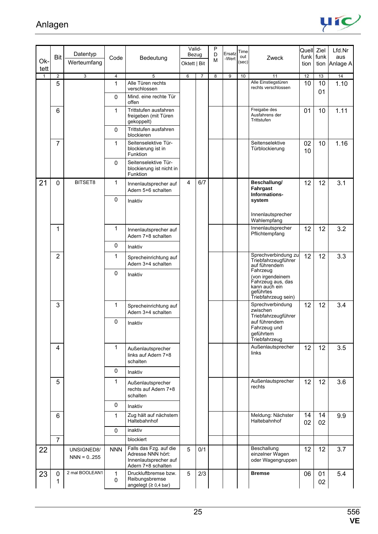

| Ok-          | Bit               | Datentyp                    | Code           | Bedeutung                                                                                  | Valid-<br>Bezug |                | P<br>D<br>M | Ersatz<br>-Wert | Time<br>out | Zweck                                                                                                  | Quell Ziel | funk funk | Lfd.Nr<br>aus |
|--------------|-------------------|-----------------------------|----------------|--------------------------------------------------------------------------------------------|-----------------|----------------|-------------|-----------------|-------------|--------------------------------------------------------------------------------------------------------|------------|-----------|---------------|
| tett         |                   | Werteumfang                 |                |                                                                                            | Oktett   Bit    |                |             |                 | (sec)       |                                                                                                        | tion       | tion      | Anlage A      |
| $\mathbf{1}$ | 2                 | $\overline{3}$              | $\overline{4}$ | 5                                                                                          | 6               | $\overline{7}$ | 8           | 9               | 10          | 11                                                                                                     | 12         | 13        | 14            |
|              | 5                 |                             | 1              | Alle Türen rechts<br>verschlossen                                                          |                 |                |             |                 |             | Alle Einstiegstüren<br>rechts verschlossen                                                             | 10         | 10<br>01  | 1.10          |
|              |                   |                             | $\Omega$       | Mind. eine rechte Tür<br>offen                                                             |                 |                |             |                 |             |                                                                                                        |            |           |               |
|              | 6                 |                             | $\mathbf{1}$   | Trittstufen ausfahren<br>freigeben (mit Türen<br>gekoppelt)                                |                 |                |             |                 |             | Freigabe des<br>Ausfahrens der<br>Trittstufen                                                          | 01         | 10        | 1.11          |
|              |                   |                             | $\mathbf 0$    | Trittstufen ausfahren<br>blockieren                                                        |                 |                |             |                 |             |                                                                                                        |            |           |               |
|              | $\overline{7}$    |                             | 1              | Seitenselektive Tür-<br>blockierung ist in<br>Funktion                                     |                 |                |             |                 |             | Seitenselektive<br>Türblockierung                                                                      | 02<br>10   | 10        | 1.16          |
|              |                   |                             | 0              | Seitenselektive Tür-<br>blockierung ist nicht in<br>Funktion                               |                 |                |             |                 |             |                                                                                                        |            |           |               |
| 21           | $\mathbf 0$       | BITSET8                     | 1              | Innenlautsprecher auf<br>Adern 5+6 schalten                                                | 4               | 6/7            |             |                 |             | Beschallung/<br>Fahrgast<br>Informations-                                                              | 12         | 12        | 3.1           |
|              |                   |                             | $\mathbf 0$    | Inaktiv                                                                                    |                 |                |             |                 |             | system                                                                                                 |            |           |               |
|              |                   |                             |                |                                                                                            |                 |                |             |                 |             | Innenlautsprecher<br>Wahlempfang                                                                       |            |           |               |
|              | 1                 |                             | 1              | Innenlautsprecher auf<br>Adern 7+8 schalten                                                |                 |                |             |                 |             | Innenlautsprecher<br>Pflichtempfang                                                                    | 12         | 12        | 3.2           |
|              |                   |                             | $\mathbf 0$    | Inaktiv                                                                                    |                 |                |             |                 |             |                                                                                                        |            |           |               |
|              | $\overline{2}$    |                             | 1              | Sprecheinrichtung auf<br>Adern 3+4 schalten                                                |                 |                |             |                 |             | Sprechverbindung zu<br>Triebfahrzeugführer<br>auf führendem                                            | 12         | 12        | 3.3           |
|              |                   |                             | $\mathbf 0$    | Inaktiv                                                                                    |                 |                |             |                 |             | Fahrzeug<br>(von irgendeinem<br>Fahrzeug aus, das<br>kann auch ein<br>geführtes<br>Triebfahrzeug sein) |            |           |               |
|              | 3                 |                             | 1              | Sprecheinrichtung auf<br>Adern 3+4 schalten                                                |                 |                |             |                 |             | Sprechverbindung<br>zwischen<br>Triebfahrzeugführer                                                    | 12         | 12        | 3.4           |
|              |                   |                             | 0              | Inaktiv                                                                                    |                 |                |             |                 |             | auf führendem<br>Fahrzeug und<br>geführtem<br>Triebfahrzeug                                            |            |           |               |
|              | 4                 |                             | 1              | Außenlautsprecher<br>links auf Adern 7+8<br>schalten                                       |                 |                |             |                 |             | Außenlautsprecher<br>links                                                                             | 12         | 12        | 3.5           |
|              |                   |                             | $\mathbf 0$    | Inaktiv                                                                                    |                 |                |             |                 |             |                                                                                                        |            |           |               |
|              | 5                 |                             | 1              | Außenlautsprecher<br>rechts auf Adern 7+8<br>schalten                                      |                 |                |             |                 |             | Außenlautsprecher<br>rechts                                                                            | 12         | 12        | 3.6           |
|              |                   |                             | $\mathbf 0$    | Inaktiv                                                                                    |                 |                |             |                 |             |                                                                                                        |            |           |               |
|              | 6                 |                             | $\mathbf{1}$   | Zug hält auf nächstem<br>Haltebahnhof                                                      |                 |                |             |                 |             | Meldung: Nächster<br>Haltebahnhof                                                                      | 14<br>02   | 14<br>02  | 9.9           |
|              |                   |                             | $\mathbf 0$    | inaktiv                                                                                    |                 |                |             |                 |             |                                                                                                        |            |           |               |
|              | $\overline{7}$    |                             |                | blockiert                                                                                  |                 |                |             |                 |             |                                                                                                        |            |           |               |
| 22           |                   | UNSIGNED8/<br>$NNN = 0.255$ | <b>NNN</b>     | Falls das Fzg. auf die<br>Adresse NNN hört:<br>Innenlautsprecher auf<br>Adern 7+8 schalten | 5               | 0/1            |             |                 |             | Beschallung<br>einzelner Wagen<br>oder Wagengruppen                                                    | 12         | 12        | 3.7           |
| 23           | $\mathbf{0}$<br>1 | 2 mal BOOLEAN1              | 1<br>0         | Druckluftbremse bzw.<br>Reibungsbremse<br>angelegt $(≥ 0,4$ bar)                           | 5               | 2/3            |             |                 |             | <b>Bremse</b>                                                                                          | 06         | 01<br>02  | 5.4           |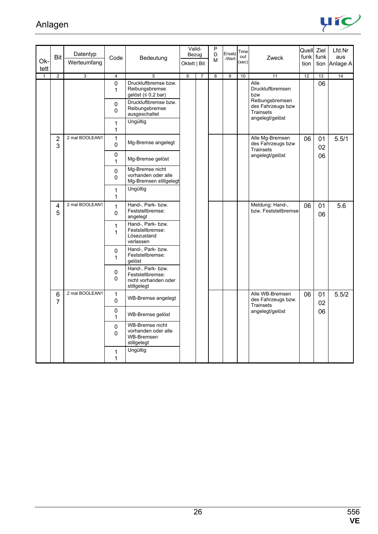

| Ok-          | Bit                 | Datentyp<br>Werteumfang | Code                       | Bedeutung                                                                    | Valid-<br>Bezug<br>Oktett   Bit |                | P<br>D<br>M    | Ersatz<br>-Wert | Time<br>out<br>(sec) | Zweck                                                                       | Quell Ziel<br>$funk$ funk<br>tion |          | Lfd.Nr<br>aus<br>tion Anlage A |
|--------------|---------------------|-------------------------|----------------------------|------------------------------------------------------------------------------|---------------------------------|----------------|----------------|-----------------|----------------------|-----------------------------------------------------------------------------|-----------------------------------|----------|--------------------------------|
| tett         |                     |                         |                            |                                                                              |                                 |                |                |                 |                      |                                                                             |                                   |          |                                |
| $\mathbf{1}$ | $\overline{2}$      | $\overline{3}$          | $\overline{4}$<br>0<br>1   | 5<br>Druckluftbremse bzw.<br>Reibungsbremse<br>gelöst $(≤ 0,2 bar)$          | 6                               | $\overline{7}$ | $\overline{8}$ | $\overline{9}$  | 10                   | 11<br>Alle<br>Druckluftbremsen<br>bzw                                       | 12                                | 13<br>06 | 14                             |
|              |                     |                         | $\pmb{0}$<br>$\Omega$      | Druckluftbremse bzw.<br>Reibungsbremse<br>ausgeschaltet                      |                                 |                |                |                 |                      | Reibungsbremsen<br>des Fahrzeugs bzw<br><b>Trainsets</b><br>angelegt/gelöst |                                   |          |                                |
|              |                     |                         | $\mathbf{1}$<br>1          | Ungültig                                                                     |                                 |                |                |                 |                      |                                                                             |                                   |          |                                |
|              | 2<br>3              | 2 mal BOOLEAN1          | 1<br>0                     | Mg-Bremse angelegt                                                           |                                 |                |                |                 |                      | Alle Mg-Bremsen<br>des Fahrzeugs bzw<br><b>Trainsets</b>                    | 06                                | 01<br>02 | 5.5/1                          |
|              |                     |                         | 0<br>$\mathbf{1}$          | Mg-Bremse gelöst                                                             |                                 |                |                |                 |                      | angelegt/gelöst                                                             |                                   | 06       |                                |
|              |                     |                         | 0<br>0                     | Mg-Bremse nicht<br>vorhanden oder alle<br>Mg-Bremsen stillgelegt             |                                 |                |                |                 |                      |                                                                             |                                   |          |                                |
|              |                     |                         | 1<br>1                     | Ungültig                                                                     |                                 |                |                |                 |                      |                                                                             |                                   |          |                                |
|              | 4<br>5              | 2 mal BOOLEAN1          | $\mathbf{1}$<br>$\Omega$   | Hand-, Park- bzw.<br>Feststellbremse:<br>angelegt                            |                                 |                |                |                 |                      | Meldung: Hand-,<br>bzw. Feststellbremse                                     | 06                                | 01<br>06 | 5.6                            |
|              |                     |                         | 1<br>$\mathbf{1}$          | Hand-, Park- bzw.<br>Feststellbremse:<br>Lösezustand<br>verlassen            |                                 |                |                |                 |                      |                                                                             |                                   |          |                                |
|              |                     |                         | 0<br>$\mathbf{1}$          | Hand-, Park- bzw.<br>Feststellbremse:<br>gelöst                              |                                 |                |                |                 |                      |                                                                             |                                   |          |                                |
|              |                     |                         | $\mathbf 0$<br>$\mathbf 0$ | Hand-, Park- bzw.<br>Feststellbremse:<br>nicht vorhanden oder<br>stillgelegt |                                 |                |                |                 |                      |                                                                             |                                   |          |                                |
|              | 6<br>$\overline{7}$ | 2 mal BOOLEAN1          | 1<br>$\Omega$              | <b>WB-Bremse angelegt</b>                                                    |                                 |                |                |                 |                      | Alle WB-Bremsen<br>des Fahrzeugs bzw.<br>Trainsets                          | 06                                | 01<br>02 | 5.5/2                          |
|              |                     |                         | 0<br>1                     | WB-Bremse gelöst                                                             |                                 |                |                |                 |                      | angelegt/gelöst                                                             |                                   | 06       |                                |
|              |                     |                         | $\pmb{0}$<br>0             | WB-Bremse nicht<br>vorhanden oder alle<br>WB-Bremsen<br>stillgelegt          |                                 |                |                |                 |                      |                                                                             |                                   |          |                                |
|              |                     |                         | $\mathbf{1}$<br>1          | Ungültig                                                                     |                                 |                |                |                 |                      |                                                                             |                                   |          |                                |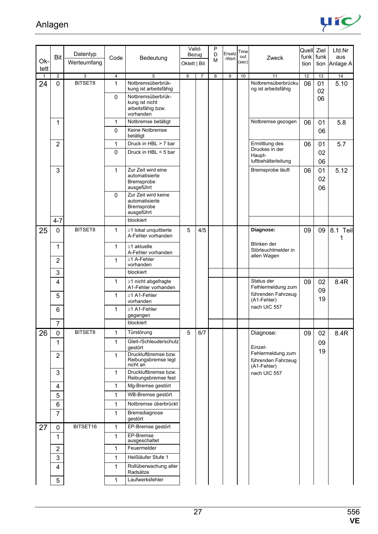

|              | <b>Bit</b>     | Datentyp       | Code           | Bedeutung                                                             | Valid-<br>Bezug |                | P<br>D<br>M             | Ersatz<br>-Wert | Time<br>out | Zweck                                              | Quell Ziel | funk funk      | Lfd.Nr<br>aus |
|--------------|----------------|----------------|----------------|-----------------------------------------------------------------------|-----------------|----------------|-------------------------|-----------------|-------------|----------------------------------------------------|------------|----------------|---------------|
| Ok-<br>tett  |                | Werteumfang    |                |                                                                       | Oktett   Bit    |                |                         |                 | (sec)       |                                                    | tion       | tion           | Anlage A      |
| $\mathbf{1}$ | $\overline{2}$ | $\overline{3}$ | $\overline{4}$ | 5                                                                     | 6               | $\overline{7}$ | $\overline{\mathbf{8}}$ | 9               | 10          | 11                                                 | 12         | 13             | 14            |
| 24           | 0              | BITSET8        | 1              | Notbremsüberbrük-<br>kung ist arbeitsfähig                            |                 |                |                         |                 |             | Notbremsüberbrücku<br>ng ist arbeitsfähig          | 06         | 01<br>02       | 5.10          |
|              |                |                | $\mathbf 0$    | Notbremsüberbrük-<br>kung ist nicht<br>arbeitsfähig bzw.<br>vorhanden |                 |                |                         |                 |             |                                                    |            | 06             |               |
|              | 1              |                | 1              | Notbremse betätigt                                                    |                 |                |                         |                 |             | Notbremse gezogen                                  | 06         | 01             | 5.8           |
|              |                |                | $\Omega$       | Keine Notbremse<br>betätigt                                           |                 |                |                         |                 |             |                                                    |            | 06             |               |
|              | $\overline{2}$ |                | 1              | Druck in HBL > 7 bar                                                  |                 |                |                         |                 |             | Ermittlung des                                     | 06         | 01             | 5.7           |
|              |                |                | $\Omega$       | Druck in HBL < 5 bar                                                  |                 |                |                         |                 |             | Druckes in der<br>Haupt-<br>luftbehälterleitung    |            | 02<br>06       |               |
|              | 3              |                | 1              | Zur Zeit wird eine<br>automatisierte<br>Bremsprobe<br>ausgeführt      |                 |                |                         |                 |             | Bremsprobe läuft                                   | 06         | 01<br>02<br>06 | 5.12          |
|              |                |                | $\Omega$       | Zur Zeit wird keine<br>automatisierte<br>Bremsprobe<br>ausgeführt     |                 |                |                         |                 |             |                                                    |            |                |               |
|              | $4 - 7$        |                |                | blockiert                                                             |                 |                |                         |                 |             |                                                    |            |                |               |
| 25           | 0              | BITSET8        | $\mathbf{1}$   | ≥1 lokal unquittierte<br>A-Fehler vorhanden                           | 5               | 4/5            |                         |                 |             | Diagnose:                                          | 09         | 09             | 8.1 Teil      |
|              | 1              |                | 1              | $\geq$ 1 aktuelle<br>A-Fehler vorhanden                               |                 |                |                         |                 |             | Blinken der<br>Störleuchtmelder in<br>allen Wagen  |            |                |               |
|              | $\overline{2}$ |                | $\mathbf{1}$   | ≥1 A-Fehler<br>vorhanden                                              |                 |                |                         |                 |             |                                                    |            |                |               |
|              | 3              |                |                | blockiert                                                             |                 |                |                         |                 |             |                                                    |            |                |               |
|              | 4              |                | 1              | ≥1 nicht abgefragte<br>A1-Fehler vorhanden                            |                 |                |                         |                 |             | Status der<br>Felhlermeldung zum                   | 09         | 02<br>09       | 8.4R          |
|              | 5              |                | 1              | ≥1 A1-Fehler<br>vorhanden                                             |                 |                |                         |                 |             | führenden Fahrzeug<br>(A1-Fehler)<br>nach UIC 557  |            | 19             |               |
|              | 6              |                | 1              | ≥1 A1-Fehler<br>gegangen                                              |                 |                |                         |                 |             |                                                    |            |                |               |
|              | $\overline{7}$ |                |                | blockiert                                                             |                 |                |                         |                 |             |                                                    |            |                |               |
| 26           | 0<br>1         | BITSET8        | 1<br>1         | Türstörung<br>Gleit-/Schleuderschutz                                  | 5               | 6/7            |                         |                 |             | Diagnose:                                          | 09         | 02<br>09       | 8.4R          |
|              | $\overline{2}$ |                | $\mathbf{1}$   | qestört<br>Druckluftbremse bzw.<br>Reibungsbremse legt<br>nicht an    |                 |                |                         |                 |             | Einzel-<br>Fehlermeldung zum<br>führenden Fahrzeug |            | 19             |               |
|              | 3              |                | 1              | Druckluftbremse bzw.<br>Reibungsbremse fest                           |                 |                |                         |                 |             | (A1-Fehler)<br>nach UIC 557                        |            |                |               |
|              | 4              |                | $\mathbf{1}$   | Mg-Bremse gestört                                                     |                 |                |                         |                 |             |                                                    |            |                |               |
|              | 5              |                | 1              | WB-Bremse gestört                                                     |                 |                |                         |                 |             |                                                    |            |                |               |
|              | 6              |                | $\mathbf{1}$   | Notbremse überbrückt                                                  |                 |                |                         |                 |             |                                                    |            |                |               |
|              | $\overline{7}$ |                | 1              | Bremsdiagnose<br>gestört                                              |                 |                |                         |                 |             |                                                    |            |                |               |
| 27           | 0              | BITSET16       | $\mathbf{1}$   | EP-Bremse gestört                                                     |                 |                |                         |                 |             |                                                    |            |                |               |
|              | 1              |                | 1              | EP-Bremse<br>ausgeschaltet                                            |                 |                |                         |                 |             |                                                    |            |                |               |
|              | $\overline{2}$ |                | 1              | Feuermelder                                                           |                 |                |                         |                 |             |                                                    |            |                |               |
|              | 3              |                | $\mathbf{1}$   | Heißläufer Stufe 1                                                    |                 |                |                         |                 |             |                                                    |            |                |               |
|              | 4              |                | 1              | Rollüberwachung aller<br>Radsätze                                     |                 |                |                         |                 |             |                                                    |            |                |               |
|              | 5              |                | $\mathbf{1}$   | Laufwerksfehler                                                       |                 |                |                         |                 |             |                                                    |            |                |               |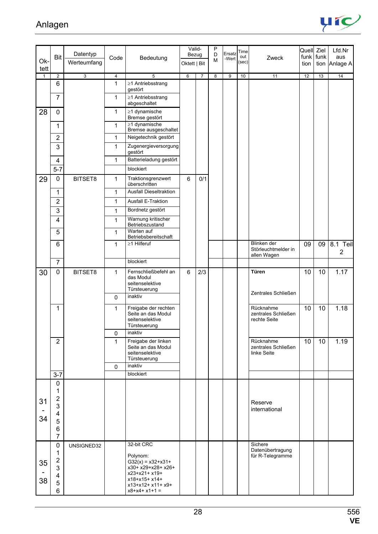

|                      |                                                                                        | Datentyp       |                |                                                                                                                                              | Valid-<br>Bezug |                | P<br>Ersatz<br>D |                | Time         |                                                   | Quell Ziel        |      | Lfd.Nr          |
|----------------------|----------------------------------------------------------------------------------------|----------------|----------------|----------------------------------------------------------------------------------------------------------------------------------------------|-----------------|----------------|------------------|----------------|--------------|---------------------------------------------------|-------------------|------|-----------------|
| Ok-                  | <b>Bit</b>                                                                             | Werteumfang    | Code           | Bedeutung                                                                                                                                    | Oktett   Bit    |                | M                | -Wert          | out<br>(sec) | Zweck                                             | funk funk<br>tion | tion | aus<br>Anlage A |
| tett<br>$\mathbf{1}$ | $\overline{2}$                                                                         | $\overline{3}$ | $\overline{4}$ | $\overline{5}$                                                                                                                               | 6               | $\overline{7}$ | $\overline{8}$   | $\overline{9}$ | 10           | 11                                                | 12                | 13   | 14              |
|                      | 6                                                                                      |                | 1              | ≥1 Antriebsstrang                                                                                                                            |                 |                |                  |                |              |                                                   |                   |      |                 |
|                      | $\overline{7}$                                                                         |                | 1              | gestört<br>≥1 Antriebsstrang                                                                                                                 |                 |                |                  |                |              |                                                   |                   |      |                 |
|                      |                                                                                        |                |                | abgeschaltet                                                                                                                                 |                 |                |                  |                |              |                                                   |                   |      |                 |
| 28                   | 0                                                                                      |                | 1              | ≥1 dynamische<br>Bremse gestört                                                                                                              |                 |                |                  |                |              |                                                   |                   |      |                 |
|                      | 1                                                                                      |                | 1              | $\geq$ 1 dynamische<br>Bremse ausgeschaltet                                                                                                  |                 |                |                  |                |              |                                                   |                   |      |                 |
|                      | $\overline{2}$                                                                         |                | 1              | Neigetechnik gestört                                                                                                                         |                 |                |                  |                |              |                                                   |                   |      |                 |
|                      | 3                                                                                      |                | 1              | Zugenergieversorgung<br>gestört                                                                                                              |                 |                |                  |                |              |                                                   |                   |      |                 |
|                      | 4                                                                                      |                | 1              | Batterieladung gestört                                                                                                                       |                 |                |                  |                |              |                                                   |                   |      |                 |
|                      | $5 - 7$                                                                                |                |                | blockiert                                                                                                                                    |                 |                |                  |                |              |                                                   |                   |      |                 |
| 29                   | 0                                                                                      | BITSET8        | 1              | Traktionsgrenzwert<br>überschritten                                                                                                          | 6               | 0/1            |                  |                |              |                                                   |                   |      |                 |
|                      | 1                                                                                      |                | 1              | <b>Ausfall Dieseltraktion</b>                                                                                                                |                 |                |                  |                |              |                                                   |                   |      |                 |
|                      | $\overline{2}$                                                                         |                | 1              | <b>Ausfall E-Traktion</b>                                                                                                                    |                 |                |                  |                |              |                                                   |                   |      |                 |
|                      | 3                                                                                      |                | 1              | Bordnetz gestört                                                                                                                             |                 |                |                  |                |              |                                                   |                   |      |                 |
|                      | $\overline{\mathbf{4}}$                                                                |                | 1              | Warnung kritischer<br>Betriebszustand                                                                                                        |                 |                |                  |                |              |                                                   |                   |      |                 |
|                      | 5                                                                                      |                | 1              | Warten auf<br>Betriebsbereitschaft                                                                                                           |                 |                |                  |                |              |                                                   |                   |      |                 |
|                      | 6                                                                                      |                | 1              | $\geq$ 1 Hilferuf                                                                                                                            |                 |                |                  |                |              | Blinken der<br>Störleuchtmelder in<br>allen Wagen | 09                | 09   | 8.1 Teil<br>2   |
|                      | $\overline{7}$                                                                         |                |                | blockiert                                                                                                                                    |                 |                |                  |                |              |                                                   |                   |      |                 |
| 30                   | 0                                                                                      | BITSET8        | 1              | Fernschließbefehl an<br>das Modul<br>seitenselektive<br>Türsteuerung                                                                         | 6               | 2/3            |                  |                |              | Türen<br>Zentrales Schließen                      | 10                | 10   | 1.17            |
|                      |                                                                                        |                | 0              | inaktiv                                                                                                                                      |                 |                |                  |                |              |                                                   |                   |      |                 |
|                      | 1                                                                                      |                | 1              | Freigabe der rechten<br>Seite an das Modul<br>seitenselektive<br>Türsteuerung<br>inaktiv                                                     |                 |                |                  |                |              | Rücknahme<br>zentrales Schließen<br>rechte Seite  | 10                | 10   | 1.18            |
|                      | $\overline{2}$                                                                         |                | 0<br>1         | Freigabe der linken                                                                                                                          |                 |                |                  |                |              | Rücknahme                                         | 10                | 10   | 1.19            |
|                      |                                                                                        |                |                | Seite an das Modul<br>seitenselektive<br>Türsteuerung                                                                                        |                 |                |                  |                |              | zentrales Schließen<br>linke Seite                |                   |      |                 |
|                      |                                                                                        |                | $\mathbf{0}$   | inaktiv                                                                                                                                      |                 |                |                  |                |              |                                                   |                   |      |                 |
|                      | $3 - 7$                                                                                |                |                | blockiert                                                                                                                                    |                 |                |                  |                |              |                                                   |                   |      |                 |
| 31<br>34             | $\boldsymbol{0}$<br>1<br>2<br>3<br>4<br>5<br>6<br>$\overline{7}$                       |                |                |                                                                                                                                              |                 |                |                  |                |              | Reserve<br>international                          |                   |      |                 |
| 35<br>38             | 0<br>1<br>$\overline{2}$<br>$\mathsf 3$<br>$\overline{\mathbf{4}}$<br>$\mathbf 5$<br>6 | UNSIGNED32     |                | 32-bit CRC<br>Polynom:<br>$G32(x) = x32+x31+$<br>x30+ x29+x28+ x26+<br>x23+x21+ x19+<br>x18+x15+ x14+<br>x13+x12+ x11+ x9+<br>$x8+x4+x1+1 =$ |                 |                |                  |                |              | Sichere<br>Datenübertragung<br>für R-Telegramme   |                   |      |                 |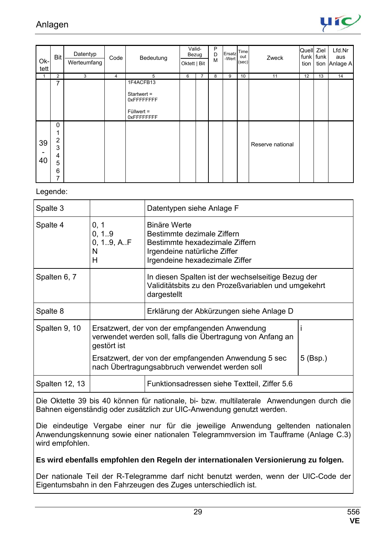

| Ok-<br>tett | Bit                                          | Datentyp<br>Werteumfang | Code           | Bedeutung                                                              | Valid-<br>Bezug<br>Oktett   Bit |                | P<br>D<br>M | Ersatz Time<br>-Wert | out<br>(sec) | Zweck            | Quell Ziel<br>funk funk<br>tion |    | Lfd.Nr<br>aus<br>tion Anlage A |
|-------------|----------------------------------------------|-------------------------|----------------|------------------------------------------------------------------------|---------------------------------|----------------|-------------|----------------------|--------------|------------------|---------------------------------|----|--------------------------------|
|             | $\overline{2}$                               | 3                       | $\overline{4}$ | 5                                                                      | 6                               | $\overline{7}$ | 8           | 9                    | 10           | 11               | 12                              | 13 | 14                             |
|             | 7                                            |                         |                | 1F4ACFB13<br>Startwert =<br>0xFFFFFFFFF<br>$Füllwert =$<br>0xFFFFFFFFF |                                 |                |             |                      |              |                  |                                 |    |                                |
| 39<br>40    | 0<br>$\overline{2}$<br>3<br>4<br>5<br>6<br>7 |                         |                |                                                                        |                                 |                |             |                      |              | Reserve national |                                 |    |                                |

#### Legende:

| Spalte 3       |                                                                                                                             | Datentypen siehe Anlage F                                                                                                                             |            |  |  |  |  |
|----------------|-----------------------------------------------------------------------------------------------------------------------------|-------------------------------------------------------------------------------------------------------------------------------------------------------|------------|--|--|--|--|
| Spalte 4       | 0, 1<br>0, 1.9<br>0, 1.9, A.F<br>N<br>H                                                                                     | <b>Binäre Werte</b><br>Bestimmte dezimale Ziffern<br>Bestimmte hexadezimale Ziffern<br>Irgendeine natürliche Ziffer<br>Irgendeine hexadezimale Ziffer |            |  |  |  |  |
| Spalten 6, 7   |                                                                                                                             | In diesen Spalten ist der wechselseitige Bezug der<br>Validitätsbits zu den Prozeßvariablen und umgekehrt<br>dargestellt                              |            |  |  |  |  |
| Spalte 8       |                                                                                                                             | Erklärung der Abkürzungen siehe Anlage D                                                                                                              |            |  |  |  |  |
| Spalten 9, 10  | Ersatzwert, der von der empfangenden Anwendung<br>verwendet werden soll, falls die Übertragung von Anfang an<br>gestört ist |                                                                                                                                                       |            |  |  |  |  |
|                |                                                                                                                             | Ersatzwert, der von der empfangenden Anwendung 5 sec<br>nach Übertragungsabbruch verwendet werden soll                                                | $5$ (Bsp.) |  |  |  |  |
| Spalten 12, 13 |                                                                                                                             | Funktionsadressen siehe Textteil, Ziffer 5.6                                                                                                          |            |  |  |  |  |

Die Oktette 39 bis 40 können für nationale, bi- bzw. multilaterale Anwendungen durch die Bahnen eigenständig oder zusätzlich zur UIC-Anwendung genutzt werden.

Die eindeutige Vergabe einer nur für die jeweilige Anwendung geltenden nationalen Anwendungskennung sowie einer nationalen Telegrammversion im Taufframe (Anlage C.3) wird empfohlen.

#### **Es wird ebenfalls empfohlen den Regeln der internationalen Versionierung zu folgen.**

Der nationale Teil der R-Telegramme darf nicht benutzt werden, wenn der UIC-Code der Eigentumsbahn in den Fahrzeugen des Zuges unterschiedlich ist.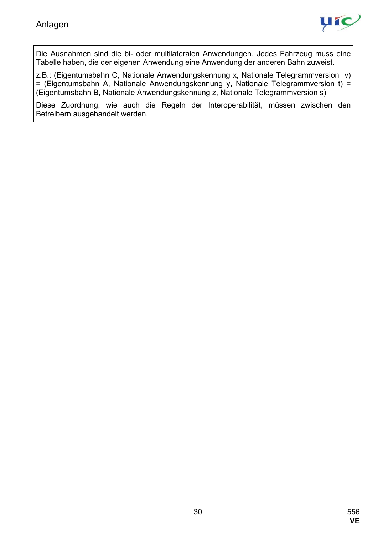

Die Ausnahmen sind die bi- oder multilateralen Anwendungen. Jedes Fahrzeug muss eine Tabelle haben, die der eigenen Anwendung eine Anwendung der anderen Bahn zuweist.

z.B.: (Eigentumsbahn C, Nationale Anwendungskennung x, Nationale Telegrammversion v) = (Eigentumsbahn A, Nationale Anwendungskennung y, Nationale Telegrammversion t) = (Eigentumsbahn B, Nationale Anwendungskennung z, Nationale Telegrammversion s)

Diese Zuordnung, wie auch die Regeln der Interoperabilität, müssen zwischen den Betreibern ausgehandelt werden.